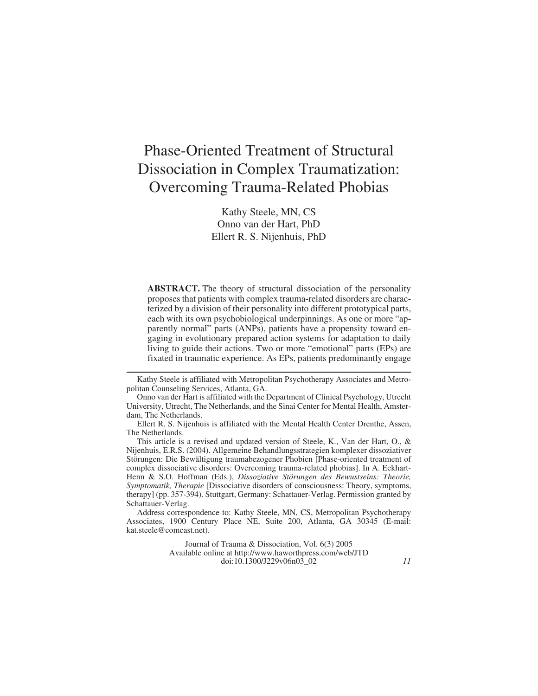# Phase-Oriented Treatment of Structural Dissociation in Complex Traumatization: Overcoming Trauma-Related Phobias

Kathy Steele, MN, CS Onno van der Hart, PhD Ellert R. S. Nijenhuis, PhD

**ABSTRACT.** The theory of structural dissociation of the personality proposes that patients with complex trauma-related disorders are characterized by a division of their personality into different prototypical parts, each with its own psychobiological underpinnings. As one or more "apparently normal" parts (ANPs), patients have a propensity toward engaging in evolutionary prepared action systems for adaptation to daily living to guide their actions. Two or more "emotional" parts (EPs) are fixated in traumatic experience. As EPs, patients predominantly engage

Onno van der Hart is affiliated with the Department of Clinical Psychology, Utrecht University, Utrecht, The Netherlands, and the Sinai Center for Mental Health, Amsterdam, The Netherlands.

Ellert R. S. Nijenhuis is affiliated with the Mental Health Center Drenthe, Assen, The Netherlands.

This article is a revised and updated version of Steele, K., Van der Hart, O., & Nijenhuis, E.R.S. (2004). Allgemeine Behandlungsstrategien komplexer dissoziativer Störungen: Die Bewältigung traumabezogener Phobien [Phase-oriented treatment of complex dissociative disorders: Overcoming trauma-related phobias]. In A. Eckhart-Henn & S.O. Hoffman (Eds.), *Dissoziative Störungen des Bewustseins: Theorie, Symptomatik, Therapie* [Dissociative disorders of consciousness: Theory, symptoms, therapy] (pp. 357-394). Stuttgart, Germany: Schattauer-Verlag. Permission granted by Schattauer-Verlag.

Address correspondence to: Kathy Steele, MN, CS, Metropolitan Psychotherapy Associates, 1900 Century Place NE, Suite 200, Atlanta, GA 30345 (E-mail: kat.steele@comcast.net).

> Journal of Trauma & Dissociation, Vol. 6(3) 2005 Available online at<http://www.haworthpress.com/web/JTD> doi:10.1300/J229v06n03\_02 *11*

Kathy Steele is affiliated with Metropolitan Psychotherapy Associates and Metropolitan Counseling Services, Atlanta, GA.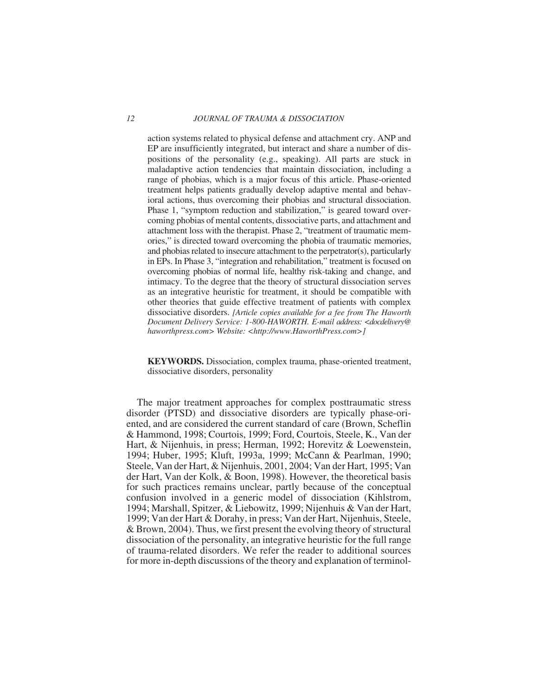action systems related to physical defense and attachment cry. ANP and EP are insufficiently integrated, but interact and share a number of dispositions of the personality (e.g., speaking). All parts are stuck in maladaptive action tendencies that maintain dissociation, including a range of phobias, which is a major focus of this article. Phase-oriented treatment helps patients gradually develop adaptive mental and behavioral actions, thus overcoming their phobias and structural dissociation. Phase 1, "symptom reduction and stabilization," is geared toward overcoming phobias of mental contents, dissociative parts, and attachment and attachment loss with the therapist. Phase 2, "treatment of traumatic memories," is directed toward overcoming the phobia of traumatic memories, and phobias related to insecure attachment to the perpetrator(s), particularly in EPs. In Phase 3, "integration and rehabilitation," treatment is focused on overcoming phobias of normal life, healthy risk-taking and change, and intimacy. To the degree that the theory of structural dissociation serves as an integrative heuristic for treatment, it should be compatible with other theories that guide effective treatment of patients with complex dissociative disorders. *[Article copies available for a fee from The Haworth Document Delivery Service: 1-800-HAWORTH. E-mail address: <docdelivery@ haworthpress.com> Website: <[http://www.HaworthPress.com>](http://www.HaworthPress.com)]*

**KEYWORDS.** Dissociation, complex trauma, phase-oriented treatment, dissociative disorders, personality

The major treatment approaches for complex posttraumatic stress disorder (PTSD) and dissociative disorders are typically phase-oriented, and are considered the current standard of care (Brown, Scheflin & Hammond, 1998; Courtois, 1999; Ford, Courtois, Steele, K., Van der Hart, & Nijenhuis, in press; Herman, 1992; Horevitz & Loewenstein, 1994; Huber, 1995; Kluft, 1993a, 1999; McCann & Pearlman, 1990; Steele, Van der Hart, & Nijenhuis, 2001, 2004; Van der Hart, 1995; Van der Hart, Van der Kolk, & Boon, 1998). However, the theoretical basis for such practices remains unclear, partly because of the conceptual confusion involved in a generic model of dissociation (Kihlstrom, 1994; Marshall, Spitzer, & Liebowitz, 1999; Nijenhuis & Van der Hart, 1999; Van der Hart & Dorahy, in press; Van der Hart, Nijenhuis, Steele, & Brown, 2004). Thus, we first present the evolving theory of structural dissociation of the personality, an integrative heuristic for the full range of trauma-related disorders. We refer the reader to additional sources for more in-depth discussions of the theory and explanation of terminol-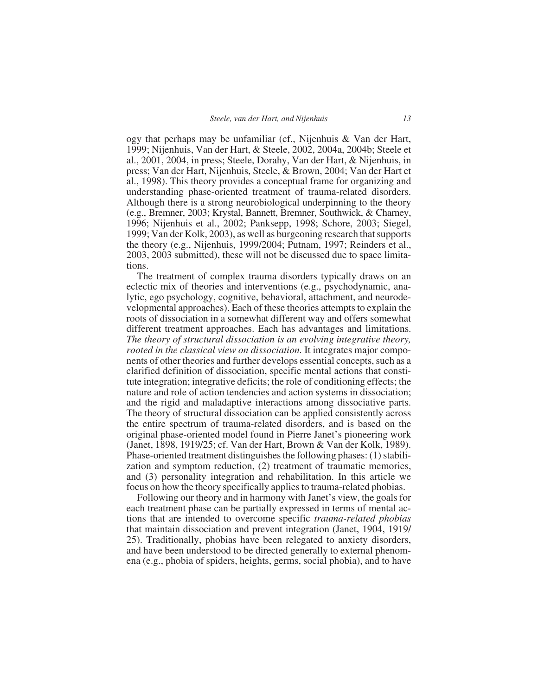ogy that perhaps may be unfamiliar (cf., Nijenhuis & Van der Hart, 1999; Nijenhuis, Van der Hart, & Steele, 2002, 2004a, 2004b; Steele et al., 2001, 2004, in press; Steele, Dorahy, Van der Hart, & Nijenhuis, in press; Van der Hart, Nijenhuis, Steele, & Brown, 2004; Van der Hart et al., 1998). This theory provides a conceptual frame for organizing and understanding phase-oriented treatment of trauma-related disorders. Although there is a strong neurobiological underpinning to the theory (e.g., Bremner, 2003; Krystal, Bannett, Bremner, Southwick, & Charney, 1996; Nijenhuis et al., 2002; Panksepp, 1998; Schore, 2003; Siegel, 1999; Van der Kolk, 2003), as well as burgeoning research that supports the theory (e.g., Nijenhuis, 1999/2004; Putnam, 1997; Reinders et al., 2003, 2003 submitted), these will not be discussed due to space limitations.

The treatment of complex trauma disorders typically draws on an eclectic mix of theories and interventions (e.g., psychodynamic, analytic, ego psychology, cognitive, behavioral, attachment, and neurodevelopmental approaches). Each of these theories attempts to explain the roots of dissociation in a somewhat different way and offers somewhat different treatment approaches. Each has advantages and limitations. *The theory of structural dissociation is an evolving integrative theory, rooted in the classical view on dissociation.* It integrates major components of other theories and further develops essential concepts, such as a clarified definition of dissociation, specific mental actions that constitute integration; integrative deficits; the role of conditioning effects; the nature and role of action tendencies and action systems in dissociation; and the rigid and maladaptive interactions among dissociative parts. The theory of structural dissociation can be applied consistently across the entire spectrum of trauma-related disorders, and is based on the original phase-oriented model found in Pierre Janet's pioneering work (Janet, 1898, 1919/25; cf. Van der Hart, Brown & Van der Kolk, 1989). Phase-oriented treatment distinguishes the following phases: (1) stabilization and symptom reduction, (2) treatment of traumatic memories, and (3) personality integration and rehabilitation. In this article we focus on how the theory specifically applies to trauma-related phobias.

Following our theory and in harmony with Janet's view, the goals for each treatment phase can be partially expressed in terms of mental actions that are intended to overcome specific *trauma-related phobias* that maintain dissociation and prevent integration (Janet, 1904, 1919/ 25). Traditionally, phobias have been relegated to anxiety disorders, and have been understood to be directed generally to external phenomena (e.g., phobia of spiders, heights, germs, social phobia), and to have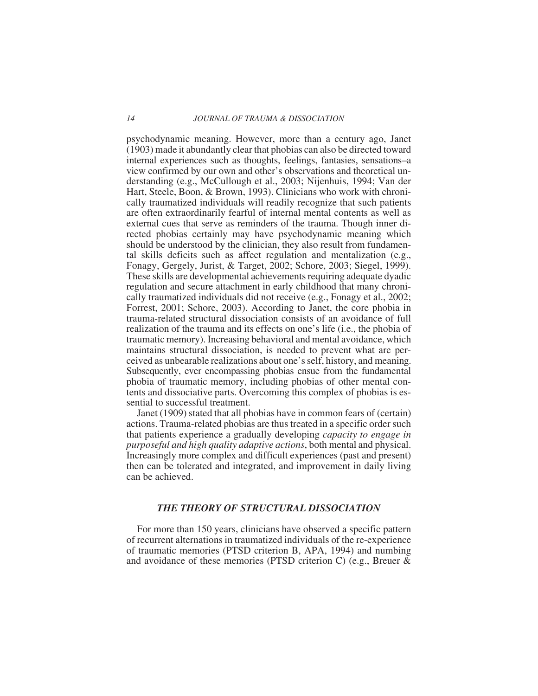psychodynamic meaning. However, more than a century ago, Janet (1903) made it abundantly clear that phobias can also be directed toward internal experiences such as thoughts, feelings, fantasies, sensations–a view confirmed by our own and other's observations and theoretical understanding (e.g., McCullough et al., 2003; Nijenhuis, 1994; Van der Hart, Steele, Boon, & Brown, 1993). Clinicians who work with chronically traumatized individuals will readily recognize that such patients are often extraordinarily fearful of internal mental contents as well as external cues that serve as reminders of the trauma. Though inner directed phobias certainly may have psychodynamic meaning which should be understood by the clinician, they also result from fundamental skills deficits such as affect regulation and mentalization (e.g., Fonagy, Gergely, Jurist, & Target, 2002; Schore, 2003; Siegel, 1999). These skills are developmental achievements requiring adequate dyadic regulation and secure attachment in early childhood that many chronically traumatized individuals did not receive (e.g., Fonagy et al., 2002; Forrest, 2001; Schore, 2003). According to Janet, the core phobia in trauma-related structural dissociation consists of an avoidance of full realization of the trauma and its effects on one's life (i.e., the phobia of traumatic memory). Increasing behavioral and mental avoidance, which maintains structural dissociation, is needed to prevent what are perceived as unbearable realizations about one's self, history, and meaning. Subsequently, ever encompassing phobias ensue from the fundamental phobia of traumatic memory, including phobias of other mental contents and dissociative parts. Overcoming this complex of phobias is essential to successful treatment.

Janet (1909) stated that all phobias have in common fears of (certain) actions. Trauma-related phobias are thus treated in a specific order such that patients experience a gradually developing *capacity to engage in purposeful and high quality adaptive actions*, both mental and physical. Increasingly more complex and difficult experiences (past and present) then can be tolerated and integrated, and improvement in daily living can be achieved.

## *THE THEORY OF STRUCTURAL DISSOCIATION*

For more than 150 years, clinicians have observed a specific pattern of recurrent alternations in traumatized individuals of the re-experience of traumatic memories (PTSD criterion B, APA, 1994) and numbing and avoidance of these memories (PTSD criterion C) (e.g., Breuer &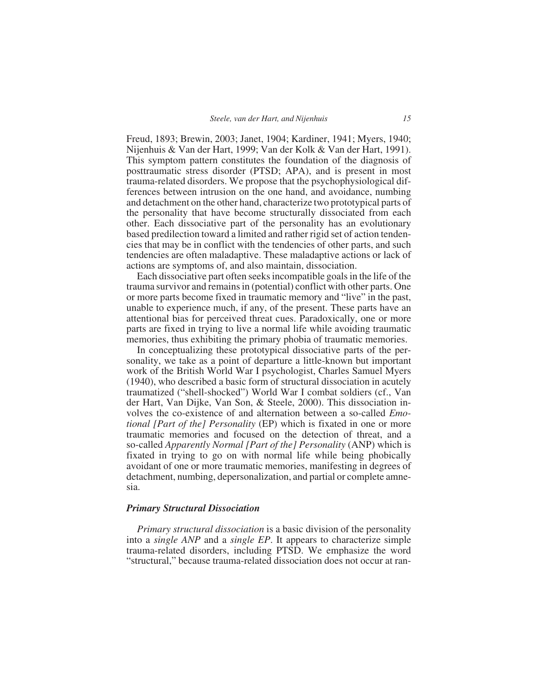Freud, 1893; Brewin, 2003; Janet, 1904; Kardiner, 1941; Myers, 1940; Nijenhuis & Van der Hart, 1999; Van der Kolk & Van der Hart, 1991). This symptom pattern constitutes the foundation of the diagnosis of posttraumatic stress disorder (PTSD; APA), and is present in most trauma-related disorders. We propose that the psychophysiological differences between intrusion on the one hand, and avoidance, numbing and detachment on the other hand, characterize two prototypical parts of the personality that have become structurally dissociated from each other. Each dissociative part of the personality has an evolutionary based predilection toward a limited and rather rigid set of action tendencies that may be in conflict with the tendencies of other parts, and such tendencies are often maladaptive. These maladaptive actions or lack of actions are symptoms of, and also maintain, dissociation.

Each dissociative part often seeks incompatible goals in the life of the trauma survivor and remains in (potential) conflict with other parts. One or more parts become fixed in traumatic memory and "live" in the past, unable to experience much, if any, of the present. These parts have an attentional bias for perceived threat cues. Paradoxically, one or more parts are fixed in trying to live a normal life while avoiding traumatic memories, thus exhibiting the primary phobia of traumatic memories.

In conceptualizing these prototypical dissociative parts of the personality, we take as a point of departure a little-known but important work of the British World War I psychologist, Charles Samuel Myers (1940), who described a basic form of structural dissociation in acutely traumatized ("shell-shocked") World War I combat soldiers (cf., Van der Hart, Van Dijke, Van Son, & Steele, 2000). This dissociation involves the co-existence of and alternation between a so-called *Emotional [Part of the] Personality* (EP) which is fixated in one or more traumatic memories and focused on the detection of threat, and a so-called *Apparently Normal [Part of the] Personality* (ANP) which is fixated in trying to go on with normal life while being phobically avoidant of one or more traumatic memories, manifesting in degrees of detachment, numbing, depersonalization, and partial or complete amnesia.

## *Primary Structural Dissociation*

*Primary structural dissociation* is a basic division of the personality into a *single ANP* and a *single EP*. It appears to characterize simple trauma-related disorders, including PTSD. We emphasize the word "structural," because trauma-related dissociation does not occur at ran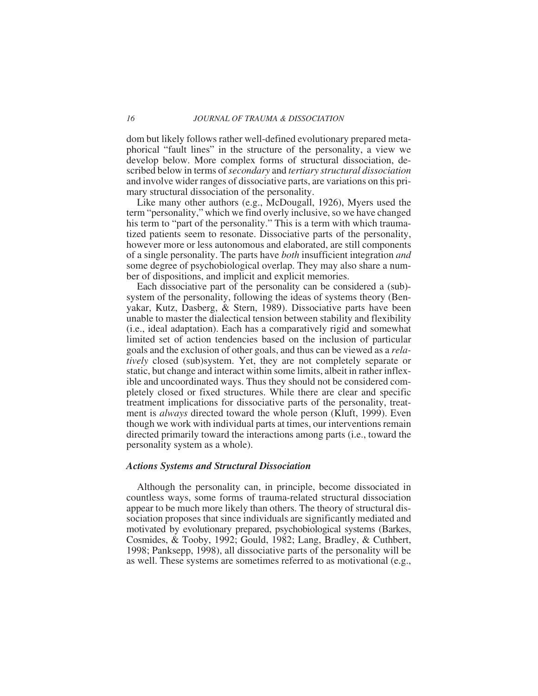dom but likely follows rather well-defined evolutionary prepared metaphorical "fault lines" in the structure of the personality, a view we develop below. More complex forms of structural dissociation, described below in terms of*secondary* and *tertiary structural dissociation* and involve wider ranges of dissociative parts, are variations on this primary structural dissociation of the personality.

Like many other authors (e.g., McDougall, 1926), Myers used the term "personality," which we find overly inclusive, so we have changed his term to "part of the personality." This is a term with which traumatized patients seem to resonate. Dissociative parts of the personality, however more or less autonomous and elaborated, are still components of a single personality. The parts have *both* insufficient integration *and* some degree of psychobiological overlap. They may also share a number of dispositions, and implicit and explicit memories.

Each dissociative part of the personality can be considered a (sub) system of the personality, following the ideas of systems theory (Benyakar, Kutz, Dasberg, & Stern, 1989). Dissociative parts have been unable to master the dialectical tension between stability and flexibility (i.e., ideal adaptation). Each has a comparatively rigid and somewhat limited set of action tendencies based on the inclusion of particular goals and the exclusion of other goals, and thus can be viewed as a *relatively* closed (sub)system. Yet, they are not completely separate or static, but change and interact within some limits, albeit in rather inflexible and uncoordinated ways. Thus they should not be considered completely closed or fixed structures. While there are clear and specific treatment implications for dissociative parts of the personality, treatment is *always* directed toward the whole person (Kluft, 1999). Even though we work with individual parts at times, our interventions remain directed primarily toward the interactions among parts (i.e., toward the personality system as a whole).

#### *Actions Systems and Structural Dissociation*

Although the personality can, in principle, become dissociated in countless ways, some forms of trauma-related structural dissociation appear to be much more likely than others. The theory of structural dissociation proposes that since individuals are significantly mediated and motivated by evolutionary prepared, psychobiological systems (Barkes, Cosmides, & Tooby, 1992; Gould, 1982; Lang, Bradley, & Cuthbert, 1998; Panksepp, 1998), all dissociative parts of the personality will be as well. These systems are sometimes referred to as motivational (e.g.,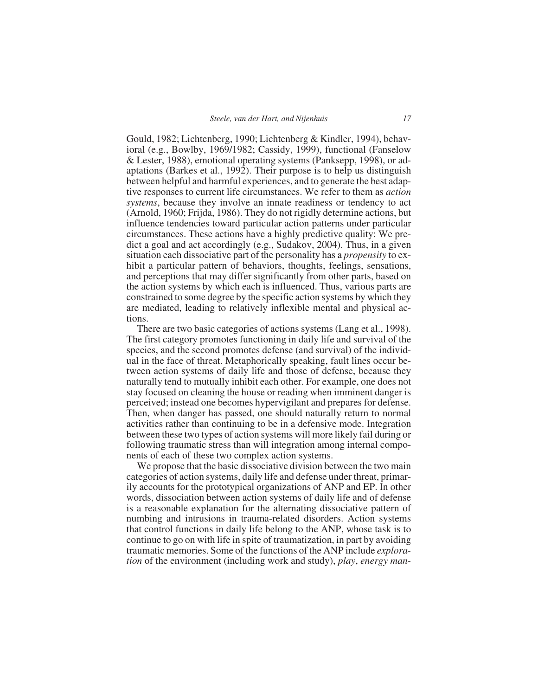Gould, 1982; Lichtenberg, 1990; Lichtenberg & Kindler, 1994), behavioral (e.g., Bowlby, 1969/1982; Cassidy, 1999), functional (Fanselow & Lester, 1988), emotional operating systems (Panksepp, 1998), or adaptations (Barkes et al., 1992). Their purpose is to help us distinguish between helpful and harmful experiences, and to generate the best adaptive responses to current life circumstances. We refer to them as *action systems*, because they involve an innate readiness or tendency to act (Arnold, 1960; Frijda, 1986). They do not rigidly determine actions, but influence tendencies toward particular action patterns under particular circumstances. These actions have a highly predictive quality: We predict a goal and act accordingly (e.g., Sudakov, 2004). Thus, in a given situation each dissociative part of the personality has a *propensity* to exhibit a particular pattern of behaviors, thoughts, feelings, sensations, and perceptions that may differ significantly from other parts, based on the action systems by which each is influenced. Thus, various parts are constrained to some degree by the specific action systems by which they are mediated, leading to relatively inflexible mental and physical actions.

There are two basic categories of actions systems (Lang et al., 1998). The first category promotes functioning in daily life and survival of the species, and the second promotes defense (and survival) of the individual in the face of threat. Metaphorically speaking, fault lines occur between action systems of daily life and those of defense, because they naturally tend to mutually inhibit each other. For example, one does not stay focused on cleaning the house or reading when imminent danger is perceived; instead one becomes hypervigilant and prepares for defense. Then, when danger has passed, one should naturally return to normal activities rather than continuing to be in a defensive mode. Integration between these two types of action systems will more likely fail during or following traumatic stress than will integration among internal components of each of these two complex action systems.

We propose that the basic dissociative division between the two main categories of action systems, daily life and defense under threat, primarily accounts for the prototypical organizations of ANP and EP. In other words, dissociation between action systems of daily life and of defense is a reasonable explanation for the alternating dissociative pattern of numbing and intrusions in trauma-related disorders. Action systems that control functions in daily life belong to the ANP, whose task is to continue to go on with life in spite of traumatization, in part by avoiding traumatic memories. Some of the functions of the ANP include *exploration* of the environment (including work and study), *play*, *energy man-*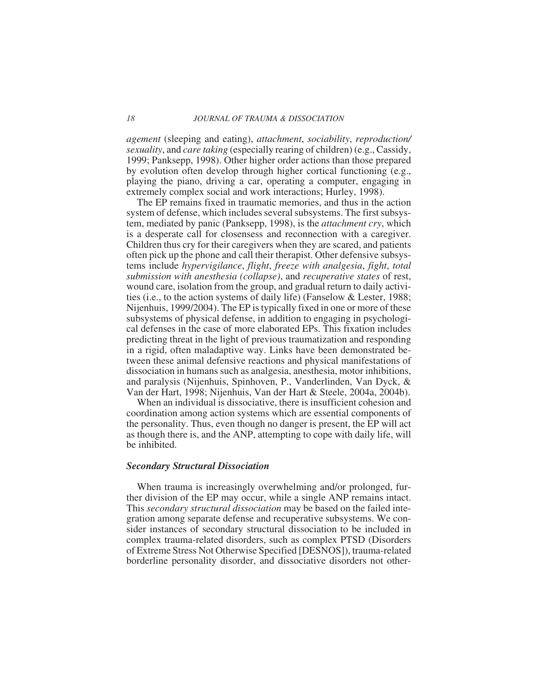*agement* (sleeping and eating), *attachment*, *sociability*, *reproduction/ sexuality*, and *care taking* (especially rearing of children) (e.g., Cassidy, 1999; Panksepp, 1998). Other higher order actions than those prepared by evolution often develop through higher cortical functioning (e.g., playing the piano, driving a car, operating a computer, engaging in extremely complex social and work interactions; Hurley, 1998).

The EP remains fixed in traumatic memories, and thus in the action system of defense, which includes several subsystems. The first subsystem, mediated by panic (Panksepp, 1998), is the *attachment cry*, which is a desperate call for closensess and reconnection with a caregiver. Children thus cry for their caregivers when they are scared, and patients often pick up the phone and call their therapist. Other defensive subsystems include *hypervigilance*, *flight*, *freeze with analgesia*, *fight*, *total submission with anesthesia (collapse)*, and *recuperative states* of rest, wound care, isolation from the group, and gradual return to daily activities (i.e., to the action systems of daily life) (Fanselow & Lester, 1988; Nijenhuis, 1999/2004). The EP is typically fixed in one or more of these subsystems of physical defense, in addition to engaging in psychological defenses in the case of more elaborated EPs. This fixation includes predicting threat in the light of previous traumatization and responding in a rigid, often maladaptive way. Links have been demonstrated between these animal defensive reactions and physical manifestations of dissociation in humans such as analgesia, anesthesia, motor inhibitions, and paralysis (Nijenhuis, Spinhoven, P., Vanderlinden, Van Dyck, & Van der Hart, 1998; Nijenhuis, Van der Hart & Steele, 2004a, 2004b).

When an individual is dissociative, there is insufficient cohesion and coordination among action systems which are essential components of the personality. Thus, even though no danger is present, the EP will act as though there is, and the ANP, attempting to cope with daily life, will be inhibited.

#### *Secondary Structural Dissociation*

When trauma is increasingly overwhelming and/or prolonged, further division of the EP may occur, while a single ANP remains intact. This *secondary structural dissociation* may be based on the failed integration among separate defense and recuperative subsystems. We consider instances of secondary structural dissociation to be included in complex trauma-related disorders, such as complex PTSD (Disorders of Extreme Stress Not Otherwise Specified [DESNOS]), trauma-related borderline personality disorder, and dissociative disorders not other-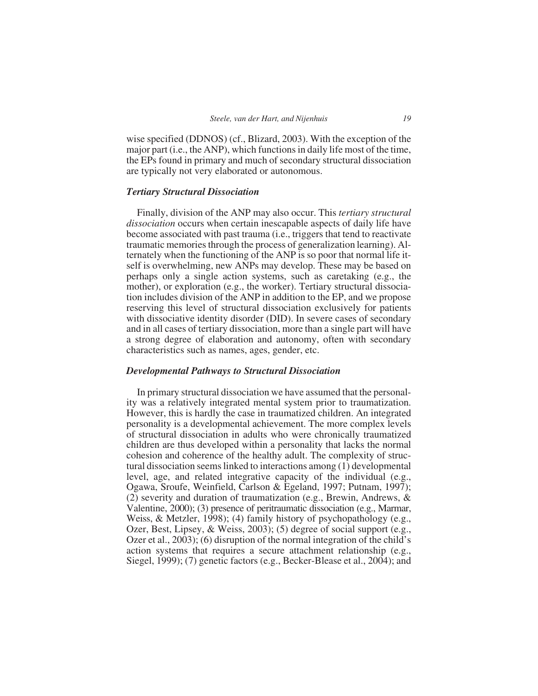wise specified (DDNOS) (cf., Blizard, 2003). With the exception of the major part (i.e., the ANP), which functions in daily life most of the time, the EPs found in primary and much of secondary structural dissociation are typically not very elaborated or autonomous.

## *Tertiary Structural Dissociation*

Finally, division of the ANP may also occur. This *tertiary structural dissociation* occurs when certain inescapable aspects of daily life have become associated with past trauma (i.e., triggers that tend to reactivate traumatic memories through the process of generalization learning). Alternately when the functioning of the ANP is so poor that normal life itself is overwhelming, new ANPs may develop. These may be based on perhaps only a single action systems, such as caretaking (e.g., the mother), or exploration (e.g., the worker). Tertiary structural dissociation includes division of the ANP in addition to the EP, and we propose reserving this level of structural dissociation exclusively for patients with dissociative identity disorder (DID). In severe cases of secondary and in all cases of tertiary dissociation, more than a single part will have a strong degree of elaboration and autonomy, often with secondary characteristics such as names, ages, gender, etc.

## *Developmental Pathways to Structural Dissociation*

In primary structural dissociation we have assumed that the personality was a relatively integrated mental system prior to traumatization. However, this is hardly the case in traumatized children. An integrated personality is a developmental achievement. The more complex levels of structural dissociation in adults who were chronically traumatized children are thus developed within a personality that lacks the normal cohesion and coherence of the healthy adult. The complexity of structural dissociation seems linked to interactions among (1) developmental level, age, and related integrative capacity of the individual (e.g., Ogawa, Sroufe, Weinfield, Carlson & Egeland, 1997; Putnam, 1997); (2) severity and duration of traumatization (e.g., Brewin, Andrews, & Valentine, 2000); (3) presence of peritraumatic dissociation (e.g., Marmar, Weiss, & Metzler, 1998); (4) family history of psychopathology (e.g., Ozer, Best, Lipsey, & Weiss, 2003); (5) degree of social support (e.g., Ozer et al., 2003); (6) disruption of the normal integration of the child's action systems that requires a secure attachment relationship (e.g., Siegel, 1999); (7) genetic factors (e.g., Becker-Blease et al., 2004); and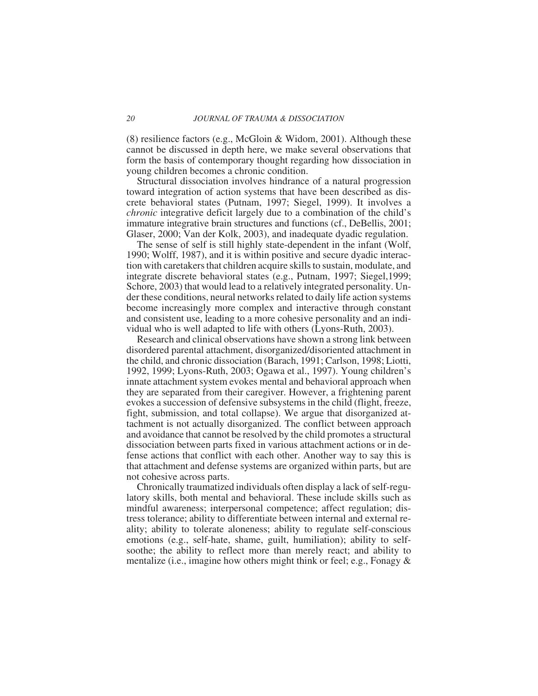(8) resilience factors (e.g., McGloin & Widom, 2001). Although these cannot be discussed in depth here, we make several observations that form the basis of contemporary thought regarding how dissociation in young children becomes a chronic condition.

Structural dissociation involves hindrance of a natural progression toward integration of action systems that have been described as discrete behavioral states (Putnam, 1997; Siegel, 1999). It involves a *chronic* integrative deficit largely due to a combination of the child's immature integrative brain structures and functions (cf., DeBellis, 2001; Glaser, 2000; Van der Kolk, 2003), and inadequate dyadic regulation.

The sense of self is still highly state-dependent in the infant (Wolf, 1990; Wolff, 1987), and it is within positive and secure dyadic interaction with caretakers that children acquire skills to sustain, modulate, and integrate discrete behavioral states (e.g., Putnam, 1997; Siegel,1999; Schore, 2003) that would lead to a relatively integrated personality. Under these conditions, neural networks related to daily life action systems become increasingly more complex and interactive through constant and consistent use, leading to a more cohesive personality and an individual who is well adapted to life with others (Lyons-Ruth, 2003).

Research and clinical observations have shown a strong link between disordered parental attachment, disorganized/disoriented attachment in the child, and chronic dissociation (Barach, 1991; Carlson, 1998; Liotti, 1992, 1999; Lyons-Ruth, 2003; Ogawa et al., 1997). Young children's innate attachment system evokes mental and behavioral approach when they are separated from their caregiver. However, a frightening parent evokes a succession of defensive subsystems in the child (flight, freeze, fight, submission, and total collapse). We argue that disorganized attachment is not actually disorganized. The conflict between approach and avoidance that cannot be resolved by the child promotes a structural dissociation between parts fixed in various attachment actions or in defense actions that conflict with each other. Another way to say this is that attachment and defense systems are organized within parts, but are not cohesive across parts.

Chronically traumatized individuals often display a lack of self-regulatory skills, both mental and behavioral. These include skills such as mindful awareness; interpersonal competence; affect regulation; distress tolerance; ability to differentiate between internal and external reality; ability to tolerate aloneness; ability to regulate self-conscious emotions (e.g., self-hate, shame, guilt, humiliation); ability to selfsoothe; the ability to reflect more than merely react; and ability to mentalize (i.e., imagine how others might think or feel; e.g., Fonagy &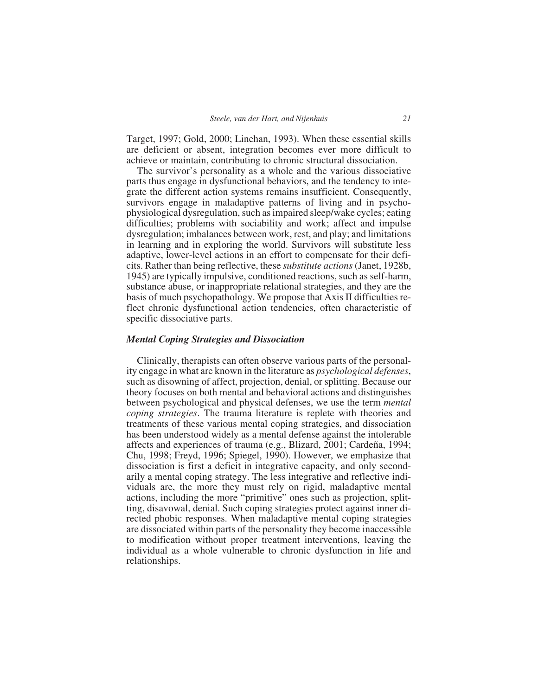Target, 1997; Gold, 2000; Linehan, 1993). When these essential skills are deficient or absent, integration becomes ever more difficult to achieve or maintain, contributing to chronic structural dissociation.

The survivor's personality as a whole and the various dissociative parts thus engage in dysfunctional behaviors, and the tendency to integrate the different action systems remains insufficient. Consequently, survivors engage in maladaptive patterns of living and in psychophysiological dysregulation, such as impaired sleep/wake cycles; eating difficulties; problems with sociability and work; affect and impulse dysregulation; imbalances between work, rest, and play; and limitations in learning and in exploring the world. Survivors will substitute less adaptive, lower-level actions in an effort to compensate for their deficits. Rather than being reflective, these *substitute actions*(Janet, 1928b, 1945) are typically impulsive, conditioned reactions, such as self-harm, substance abuse, or inappropriate relational strategies, and they are the basis of much psychopathology. We propose that Axis II difficulties reflect chronic dysfunctional action tendencies, often characteristic of specific dissociative parts.

#### *Mental Coping Strategies and Dissociation*

Clinically, therapists can often observe various parts of the personality engage in what are known in the literature as *psychological defenses*, such as disowning of affect, projection, denial, or splitting. Because our theory focuses on both mental and behavioral actions and distinguishes between psychological and physical defenses, we use the term *mental coping strategies*. The trauma literature is replete with theories and treatments of these various mental coping strategies, and dissociation has been understood widely as a mental defense against the intolerable affects and experiences of trauma (e.g., Blizard, 2001; Cardeña, 1994; Chu, 1998; Freyd, 1996; Spiegel, 1990). However, we emphasize that dissociation is first a deficit in integrative capacity, and only secondarily a mental coping strategy. The less integrative and reflective individuals are, the more they must rely on rigid, maladaptive mental actions, including the more "primitive" ones such as projection, splitting, disavowal, denial. Such coping strategies protect against inner directed phobic responses. When maladaptive mental coping strategies are dissociated within parts of the personality they become inaccessible to modification without proper treatment interventions, leaving the individual as a whole vulnerable to chronic dysfunction in life and relationships.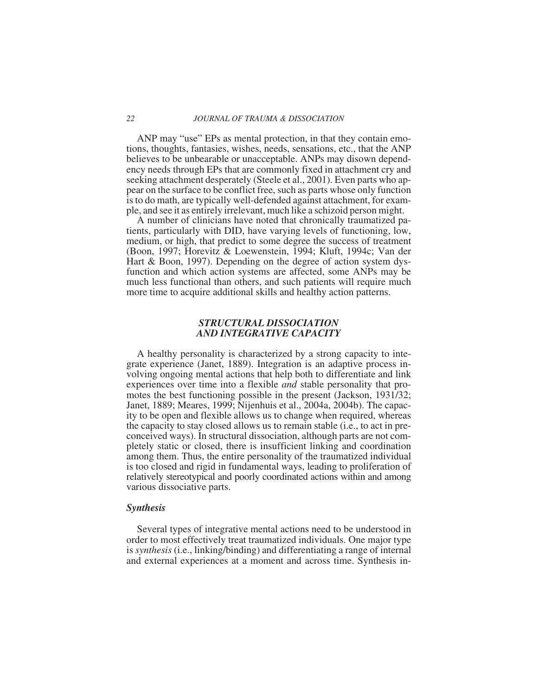ANP may "use" EPs as mental protection, in that they contain emotions, thoughts, fantasies, wishes, needs, sensations, etc., that the ANP believes to be unbearable or unacceptable. ANPs may disown dependency needs through EPs that are commonly fixed in attachment cry and seeking attachment desperately (Steele et al., 2001). Even parts who appear on the surface to be conflict free, such as parts whose only function is to do math, are typically well-defended against attachment, for example, and see it as entirely irrelevant, much like a schizoid person might.

A number of clinicians have noted that chronically traumatized patients, particularly with DID, have varying levels of functioning, low, medium, or high, that predict to some degree the success of treatment (Boon, 1997; Horevitz & Loewenstein, 1994; Kluft, 1994c; Van der Hart & Boon, 1997). Depending on the degree of action system dysfunction and which action systems are affected, some ANPs may be much less functional than others, and such patients will require much more time to acquire additional skills and healthy action patterns.

# *STRUCTURAL DISSOCIATION AND INTEGRATIVE CAPACITY*

A healthy personality is characterized by a strong capacity to integrate experience (Janet, 1889). Integration is an adaptive process involving ongoing mental actions that help both to differentiate and link experiences over time into a flexible *and* stable personality that promotes the best functioning possible in the present (Jackson, 1931/32; Janet, 1889; Meares, 1999; Nijenhuis et al., 2004a, 2004b). The capacity to be open and flexible allows us to change when required, whereas the capacity to stay closed allows us to remain stable (i.e., to act in preconceived ways). In structural dissociation, although parts are not completely static or closed, there is insufficient linking and coordination among them. Thus, the entire personality of the traumatized individual is too closed and rigid in fundamental ways, leading to proliferation of relatively stereotypical and poorly coordinated actions within and among various dissociative parts.

## *Synthesis*

Several types of integrative mental actions need to be understood in order to most effectively treat traumatized individuals. One major type is *synthesis* (i.e., linking/binding) and differentiating a range of internal and external experiences at a moment and across time. Synthesis in-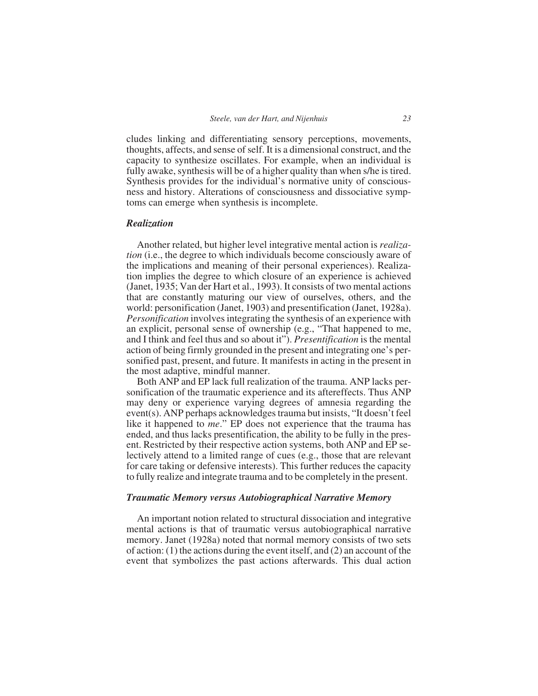cludes linking and differentiating sensory perceptions, movements, thoughts, affects, and sense of self. It is a dimensional construct, and the capacity to synthesize oscillates. For example, when an individual is fully awake, synthesis will be of a higher quality than when s/he is tired. Synthesis provides for the individual's normative unity of consciousness and history. Alterations of consciousness and dissociative symptoms can emerge when synthesis is incomplete.

## *Realization*

Another related, but higher level integrative mental action is *realization* (i.e., the degree to which individuals become consciously aware of the implications and meaning of their personal experiences). Realization implies the degree to which closure of an experience is achieved (Janet, 1935; Van der Hart et al., 1993). It consists of two mental actions that are constantly maturing our view of ourselves, others, and the world: personification (Janet, 1903) and presentification (Janet, 1928a). *Personification* involves integrating the synthesis of an experience with an explicit, personal sense of ownership (e.g., "That happened to me, and I think and feel thus and so about it"). *Presentification* is the mental action of being firmly grounded in the present and integrating one's personified past, present, and future. It manifests in acting in the present in the most adaptive, mindful manner.

Both ANP and EP lack full realization of the trauma. ANP lacks personification of the traumatic experience and its aftereffects. Thus ANP may deny or experience varying degrees of amnesia regarding the event(s). ANP perhaps acknowledges trauma but insists, "It doesn't feel like it happened to *me*." EP does not experience that the trauma has ended, and thus lacks presentification, the ability to be fully in the present. Restricted by their respective action systems, both ANP and EP selectively attend to a limited range of cues (e.g., those that are relevant for care taking or defensive interests). This further reduces the capacity to fully realize and integrate trauma and to be completely in the present.

#### *Traumatic Memory versus Autobiographical Narrative Memory*

An important notion related to structural dissociation and integrative mental actions is that of traumatic versus autobiographical narrative memory. Janet (1928a) noted that normal memory consists of two sets of action: (1) the actions during the event itself, and (2) an account of the event that symbolizes the past actions afterwards. This dual action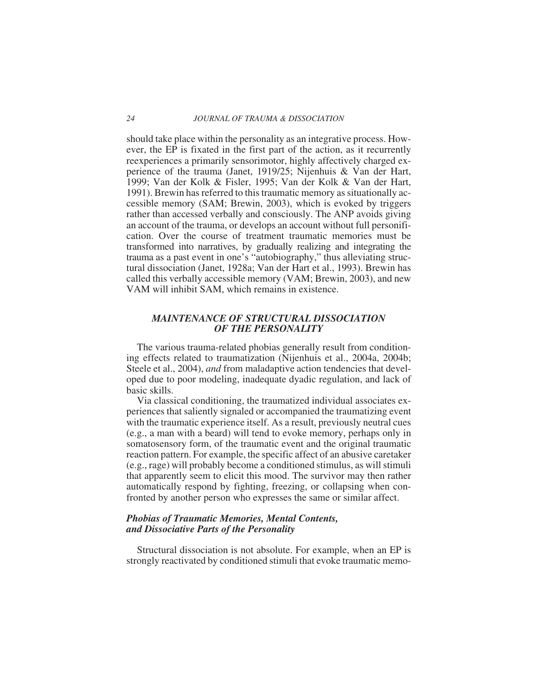should take place within the personality as an integrative process. However, the EP is fixated in the first part of the action, as it recurrently reexperiences a primarily sensorimotor, highly affectively charged experience of the trauma (Janet, 1919/25; Nijenhuis & Van der Hart, 1999; Van der Kolk & Fisler, 1995; Van der Kolk & Van der Hart, 1991). Brewin has referred to this traumatic memory as situationally accessible memory (SAM; Brewin, 2003), which is evoked by triggers rather than accessed verbally and consciously. The ANP avoids giving an account of the trauma, or develops an account without full personification. Over the course of treatment traumatic memories must be transformed into narratives, by gradually realizing and integrating the trauma as a past event in one's "autobiography," thus alleviating structural dissociation (Janet, 1928a; Van der Hart et al., 1993). Brewin has called this verbally accessible memory (VAM; Brewin, 2003), and new VAM will inhibit SAM, which remains in existence.

# *MAINTENANCE OF STRUCTURAL DISSOCIATION OF THE PERSONALITY*

The various trauma-related phobias generally result from conditioning effects related to traumatization (Nijenhuis et al., 2004a, 2004b; Steele et al., 2004), *and* from maladaptive action tendencies that developed due to poor modeling, inadequate dyadic regulation, and lack of basic skills.

Via classical conditioning, the traumatized individual associates experiences that saliently signaled or accompanied the traumatizing event with the traumatic experience itself. As a result, previously neutral cues (e.g., a man with a beard) will tend to evoke memory, perhaps only in somatosensory form, of the traumatic event and the original traumatic reaction pattern. For example, the specific affect of an abusive caretaker (e.g., rage) will probably become a conditioned stimulus, as will stimuli that apparently seem to elicit this mood. The survivor may then rather automatically respond by fighting, freezing, or collapsing when confronted by another person who expresses the same or similar affect.

## *Phobias of Traumatic Memories, Mental Contents, and Dissociative Parts of the Personality*

Structural dissociation is not absolute. For example, when an EP is strongly reactivated by conditioned stimuli that evoke traumatic memo-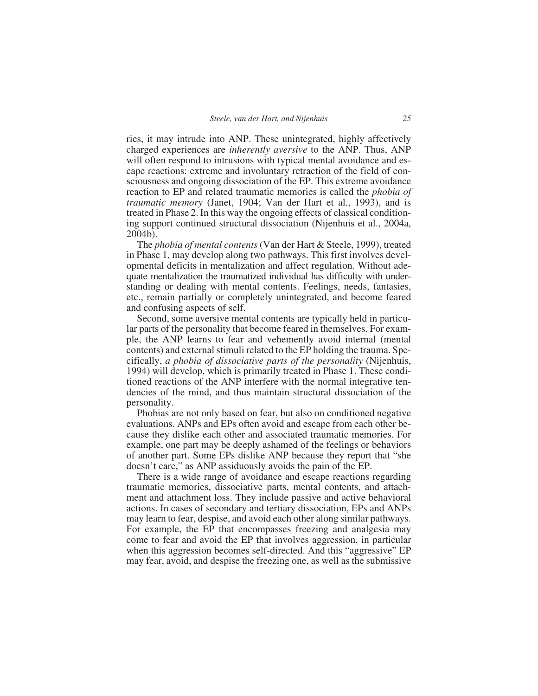ries, it may intrude into ANP. These unintegrated, highly affectively charged experiences are *inherently aversive* to the ANP. Thus, ANP will often respond to intrusions with typical mental avoidance and escape reactions: extreme and involuntary retraction of the field of consciousness and ongoing dissociation of the EP. This extreme avoidance reaction to EP and related traumatic memories is called the *phobia of traumatic memory* (Janet, 1904; Van der Hart et al., 1993), and is treated in Phase 2. In this way the ongoing effects of classical conditioning support continued structural dissociation (Nijenhuis et al., 2004a, 2004b).

The *phobia of mental contents*(Van der Hart & Steele, 1999), treated in Phase 1, may develop along two pathways. This first involves developmental deficits in mentalization and affect regulation. Without adequate mentalization the traumatized individual has difficulty with understanding or dealing with mental contents. Feelings, needs, fantasies, etc., remain partially or completely unintegrated, and become feared and confusing aspects of self.

Second, some aversive mental contents are typically held in particular parts of the personality that become feared in themselves. For example, the ANP learns to fear and vehemently avoid internal (mental contents) and external stimuli related to the EP holding the trauma. Specifically, *a phobia of dissociative parts of the personality* (Nijenhuis, 1994) will develop, which is primarily treated in Phase 1. These conditioned reactions of the ANP interfere with the normal integrative tendencies of the mind, and thus maintain structural dissociation of the personality.

Phobias are not only based on fear, but also on conditioned negative evaluations. ANPs and EPs often avoid and escape from each other because they dislike each other and associated traumatic memories. For example, one part may be deeply ashamed of the feelings or behaviors of another part. Some EPs dislike ANP because they report that "she doesn't care," as ANP assiduously avoids the pain of the EP.

There is a wide range of avoidance and escape reactions regarding traumatic memories, dissociative parts, mental contents, and attachment and attachment loss. They include passive and active behavioral actions. In cases of secondary and tertiary dissociation, EPs and ANPs may learn to fear, despise, and avoid each other along similar pathways. For example, the EP that encompasses freezing and analgesia may come to fear and avoid the EP that involves aggression, in particular when this aggression becomes self-directed. And this "aggressive" EP may fear, avoid, and despise the freezing one, as well as the submissive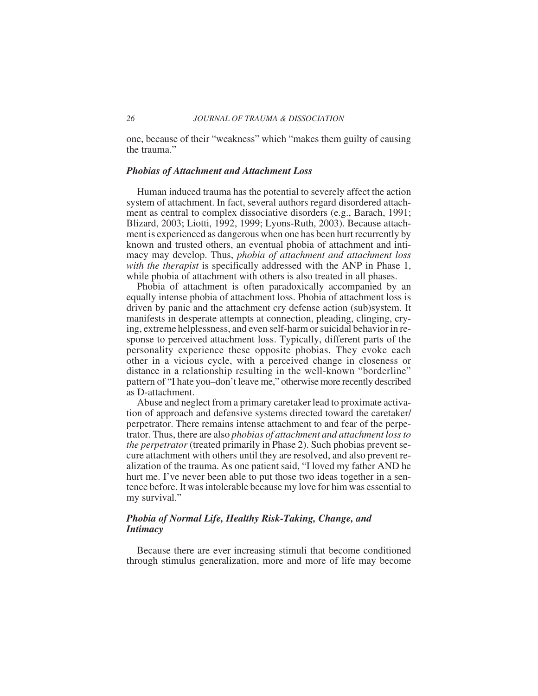one, because of their "weakness" which "makes them guilty of causing the trauma."

## *Phobias of Attachment and Attachment Loss*

Human induced trauma has the potential to severely affect the action system of attachment. In fact, several authors regard disordered attachment as central to complex dissociative disorders (e.g., Barach, 1991; Blizard, 2003; Liotti, 1992, 1999; Lyons-Ruth, 2003). Because attachment is experienced as dangerous when one has been hurt recurrently by known and trusted others, an eventual phobia of attachment and intimacy may develop. Thus, *phobia of attachment and attachment loss with the therapist* is specifically addressed with the ANP in Phase 1, while phobia of attachment with others is also treated in all phases.

Phobia of attachment is often paradoxically accompanied by an equally intense phobia of attachment loss. Phobia of attachment loss is driven by panic and the attachment cry defense action (sub)system. It manifests in desperate attempts at connection, pleading, clinging, crying, extreme helplessness, and even self-harm or suicidal behavior in response to perceived attachment loss. Typically, different parts of the personality experience these opposite phobias. They evoke each other in a vicious cycle, with a perceived change in closeness or distance in a relationship resulting in the well-known "borderline" pattern of "I hate you–don't leave me," otherwise more recently described as D-attachment.

Abuse and neglect from a primary caretaker lead to proximate activation of approach and defensive systems directed toward the caretaker/ perpetrator. There remains intense attachment to and fear of the perpetrator. Thus, there are also *phobias of attachment and attachment loss to the perpetrator* (treated primarily in Phase 2). Such phobias prevent secure attachment with others until they are resolved, and also prevent realization of the trauma. As one patient said, "I loved my father AND he hurt me. I've never been able to put those two ideas together in a sentence before. It was intolerable because my love for him was essential to my survival."

# *Phobia of Normal Life, Healthy Risk-Taking, Change, and Intimacy*

Because there are ever increasing stimuli that become conditioned through stimulus generalization, more and more of life may become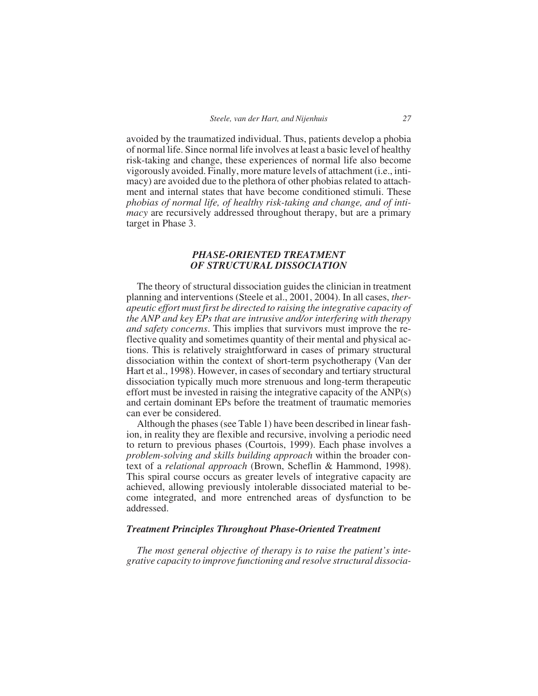avoided by the traumatized individual. Thus, patients develop a phobia of normal life. Since normal life involves at least a basic level of healthy risk-taking and change, these experiences of normal life also become vigorously avoided. Finally, more mature levels of attachment (i.e., intimacy) are avoided due to the plethora of other phobias related to attachment and internal states that have become conditioned stimuli. These *phobias of normal life, of healthy risk-taking and change, and of intimacy* are recursively addressed throughout therapy, but are a primary target in Phase 3.

## *PHASE-ORIENTED TREATMENT OF STRUCTURAL DISSOCIATION*

The theory of structural dissociation guides the clinician in treatment planning and interventions (Steele et al., 2001, 2004). In all cases, *therapeutic effort must first be directed to raising the integrative capacity of the ANP and key EPs that are intrusive and/or interfering with therapy and safety concerns*. This implies that survivors must improve the reflective quality and sometimes quantity of their mental and physical actions. This is relatively straightforward in cases of primary structural dissociation within the context of short-term psychotherapy (Van der Hart et al., 1998). However, in cases of secondary and tertiary structural dissociation typically much more strenuous and long-term therapeutic effort must be invested in raising the integrative capacity of the ANP(s) and certain dominant EPs before the treatment of traumatic memories can ever be considered.

Although the phases (see Table 1) have been described in linear fashion, in reality they are flexible and recursive, involving a periodic need to return to previous phases (Courtois, 1999). Each phase involves a *problem-solving and skills building approach* within the broader context of a *relational approach* (Brown, Scheflin & Hammond, 1998). This spiral course occurs as greater levels of integrative capacity are achieved, allowing previously intolerable dissociated material to become integrated, and more entrenched areas of dysfunction to be addressed.

## *Treatment Principles Throughout Phase-Oriented Treatment*

*The most general objective of therapy is to raise the patient's integrative capacity to improve functioning and resolve structural dissocia-*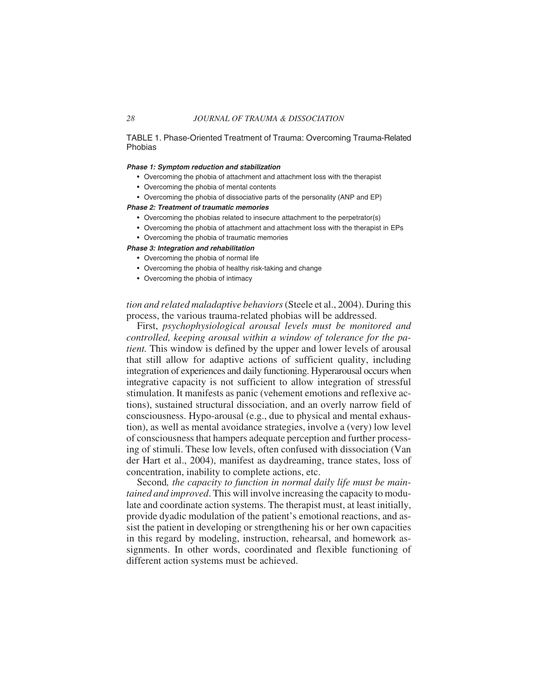TABLE 1. Phase-Oriented Treatment of Trauma: Overcoming Trauma-Related Phobias

#### **Phase 1: Symptom reduction and stabilization**

- Overcoming the phobia of attachment and attachment loss with the therapist
- Overcoming the phobia of mental contents
- Overcoming the phobia of dissociative parts of the personality (ANP and EP)

#### **Phase 2: Treatment of traumatic memories**

- Overcoming the phobias related to insecure attachment to the perpetrator(s)
- Overcoming the phobia of attachment and attachment loss with the therapist in EPs
- Overcoming the phobia of traumatic memories

#### **Phase 3: Integration and rehabilitation**

- Overcoming the phobia of normal life
- Overcoming the phobia of healthy risk-taking and change
- Overcoming the phobia of intimacy

*tion and related maladaptive behaviors*(Steele et al., 2004). During this process, the various trauma-related phobias will be addressed.

First, *psychophysiological arousal levels must be monitored and controlled, keeping arousal within a window of tolerance for the patient.* This window is defined by the upper and lower levels of arousal that still allow for adaptive actions of sufficient quality, including integration of experiences and daily functioning. Hyperarousal occurs when integrative capacity is not sufficient to allow integration of stressful stimulation. It manifests as panic (vehement emotions and reflexive actions), sustained structural dissociation, and an overly narrow field of consciousness. Hypo-arousal (e.g., due to physical and mental exhaustion), as well as mental avoidance strategies, involve a (very) low level of consciousness that hampers adequate perception and further processing of stimuli. These low levels, often confused with dissociation (Van der Hart et al., 2004), manifest as daydreaming, trance states, loss of concentration, inability to complete actions, etc.

Second*, the capacity to function in normal daily life must be maintained and improved*. This will involve increasing the capacity to modulate and coordinate action systems. The therapist must, at least initially, provide dyadic modulation of the patient's emotional reactions, and assist the patient in developing or strengthening his or her own capacities in this regard by modeling, instruction, rehearsal, and homework assignments. In other words, coordinated and flexible functioning of different action systems must be achieved.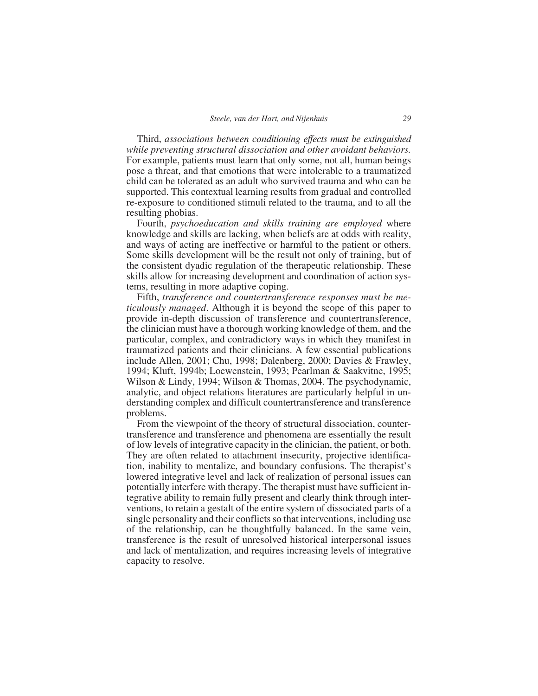Third, *associations between conditioning effects must be extinguished while preventing structural dissociation and other avoidant behaviors.* For example, patients must learn that only some, not all, human beings pose a threat, and that emotions that were intolerable to a traumatized child can be tolerated as an adult who survived trauma and who can be supported. This contextual learning results from gradual and controlled re-exposure to conditioned stimuli related to the trauma, and to all the resulting phobias.

Fourth, *psychoeducation and skills training are employed* where knowledge and skills are lacking, when beliefs are at odds with reality, and ways of acting are ineffective or harmful to the patient or others. Some skills development will be the result not only of training, but of the consistent dyadic regulation of the therapeutic relationship. These skills allow for increasing development and coordination of action systems, resulting in more adaptive coping.

Fifth, *transference and countertransference responses must be meticulously managed*. Although it is beyond the scope of this paper to provide in-depth discussion of transference and countertransference, the clinician must have a thorough working knowledge of them, and the particular, complex, and contradictory ways in which they manifest in traumatized patients and their clinicians. A few essential publications include Allen, 2001; Chu, 1998; Dalenberg, 2000; Davies & Frawley, 1994; Kluft, 1994b; Loewenstein, 1993; Pearlman & Saakvitne, 1995; Wilson & Lindy, 1994; Wilson & Thomas, 2004. The psychodynamic, analytic, and object relations literatures are particularly helpful in understanding complex and difficult countertransference and transference problems.

From the viewpoint of the theory of structural dissociation, countertransference and transference and phenomena are essentially the result of low levels of integrative capacity in the clinician, the patient, or both. They are often related to attachment insecurity, projective identification, inability to mentalize, and boundary confusions. The therapist's lowered integrative level and lack of realization of personal issues can potentially interfere with therapy. The therapist must have sufficient integrative ability to remain fully present and clearly think through interventions, to retain a gestalt of the entire system of dissociated parts of a single personality and their conflicts so that interventions, including use of the relationship, can be thoughtfully balanced. In the same vein, transference is the result of unresolved historical interpersonal issues and lack of mentalization, and requires increasing levels of integrative capacity to resolve.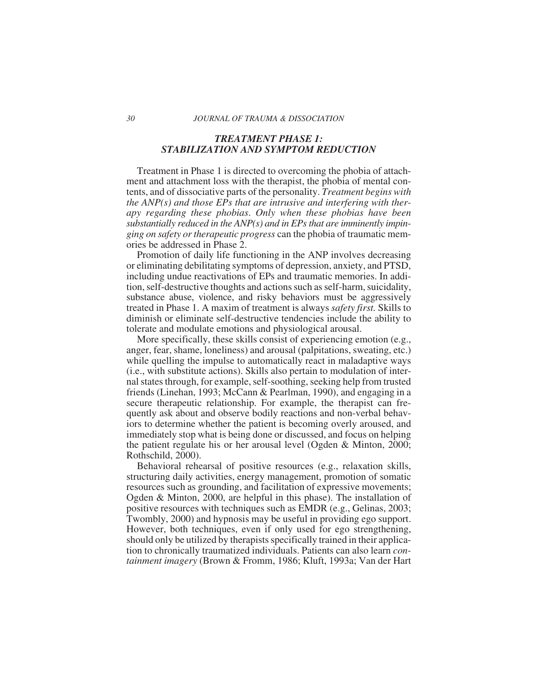# *TREATMENT PHASE 1: STABILIZATION AND SYMPTOM REDUCTION*

Treatment in Phase 1 is directed to overcoming the phobia of attachment and attachment loss with the therapist, the phobia of mental contents, and of dissociative parts of the personality. *Treatment begins with the ANP(s) and those EPs that are intrusive and interfering with therapy regarding these phobias*. *Only when these phobias have been substantially reduced in the ANP(s) and in EPs that are imminently impinging on safety or therapeutic progress* can the phobia of traumatic memories be addressed in Phase 2.

Promotion of daily life functioning in the ANP involves decreasing or eliminating debilitating symptoms of depression, anxiety, and PTSD, including undue reactivations of EPs and traumatic memories. In addition, self-destructive thoughts and actions such as self-harm, suicidality, substance abuse, violence, and risky behaviors must be aggressively treated in Phase 1. A maxim of treatment is always *safety first.* Skills to diminish or eliminate self-destructive tendencies include the ability to tolerate and modulate emotions and physiological arousal.

More specifically, these skills consist of experiencing emotion (e.g., anger, fear, shame, loneliness) and arousal (palpitations, sweating, etc.) while quelling the impulse to automatically react in maladaptive ways (i.e., with substitute actions). Skills also pertain to modulation of internal states through, for example, self-soothing, seeking help from trusted friends (Linehan, 1993; McCann & Pearlman, 1990), and engaging in a secure therapeutic relationship. For example, the therapist can frequently ask about and observe bodily reactions and non-verbal behaviors to determine whether the patient is becoming overly aroused, and immediately stop what is being done or discussed, and focus on helping the patient regulate his or her arousal level (Ogden & Minton, 2000; Rothschild, 2000).

Behavioral rehearsal of positive resources (e.g., relaxation skills, structuring daily activities, energy management, promotion of somatic resources such as grounding, and facilitation of expressive movements; Ogden & Minton, 2000, are helpful in this phase). The installation of positive resources with techniques such as EMDR (e.g., Gelinas, 2003; Twombly, 2000) and hypnosis may be useful in providing ego support. However, both techniques, even if only used for ego strengthening, should only be utilized by therapists specifically trained in their application to chronically traumatized individuals. Patients can also learn *containment imagery* (Brown & Fromm, 1986; Kluft, 1993a; Van der Hart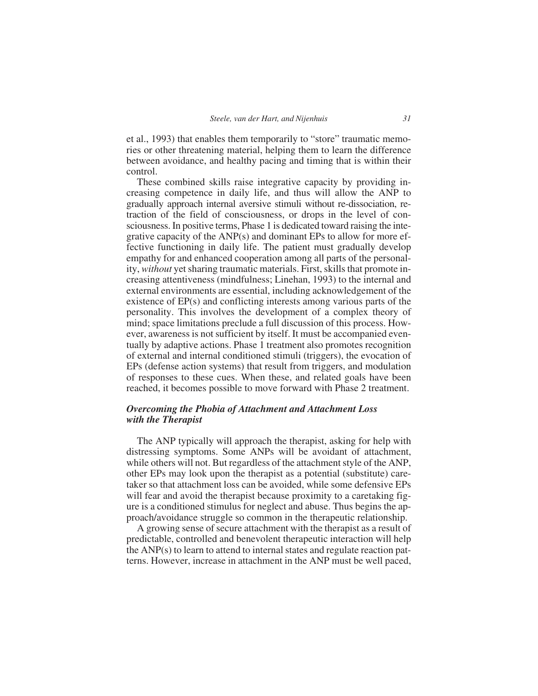et al., 1993) that enables them temporarily to "store" traumatic memories or other threatening material, helping them to learn the difference between avoidance, and healthy pacing and timing that is within their control.

These combined skills raise integrative capacity by providing increasing competence in daily life, and thus will allow the ANP to gradually approach internal aversive stimuli without re-dissociation, retraction of the field of consciousness, or drops in the level of consciousness. In positive terms, Phase 1 is dedicated toward raising the integrative capacity of the ANP(s) and dominant EPs to allow for more effective functioning in daily life. The patient must gradually develop empathy for and enhanced cooperation among all parts of the personality, *without* yet sharing traumatic materials. First, skills that promote increasing attentiveness (mindfulness; Linehan, 1993) to the internal and external environments are essential, including acknowledgement of the existence of EP(s) and conflicting interests among various parts of the personality. This involves the development of a complex theory of mind; space limitations preclude a full discussion of this process. However, awareness is not sufficient by itself. It must be accompanied eventually by adaptive actions. Phase 1 treatment also promotes recognition of external and internal conditioned stimuli (triggers), the evocation of EPs (defense action systems) that result from triggers, and modulation of responses to these cues. When these, and related goals have been reached, it becomes possible to move forward with Phase 2 treatment.

## *Overcoming the Phobia of Attachment and Attachment Loss with the Therapist*

The ANP typically will approach the therapist, asking for help with distressing symptoms. Some ANPs will be avoidant of attachment, while others will not. But regardless of the attachment style of the ANP, other EPs may look upon the therapist as a potential (substitute) caretaker so that attachment loss can be avoided, while some defensive EPs will fear and avoid the therapist because proximity to a caretaking figure is a conditioned stimulus for neglect and abuse. Thus begins the approach/avoidance struggle so common in the therapeutic relationship.

A growing sense of secure attachment with the therapist as a result of predictable, controlled and benevolent therapeutic interaction will help the ANP(s) to learn to attend to internal states and regulate reaction patterns. However, increase in attachment in the ANP must be well paced,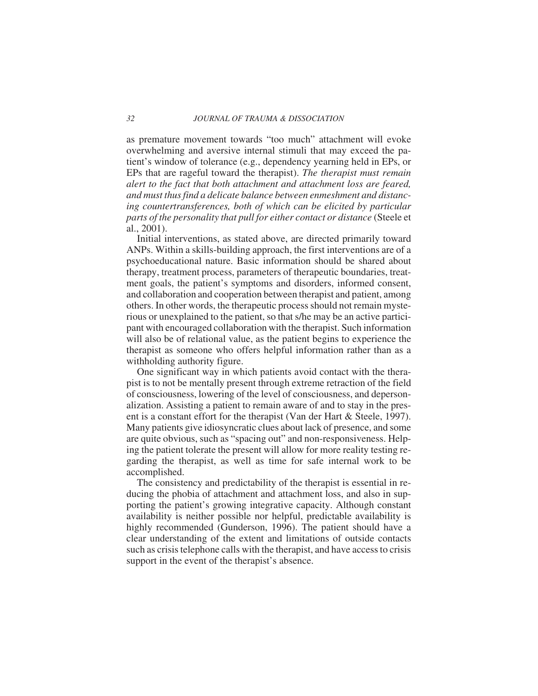as premature movement towards "too much" attachment will evoke overwhelming and aversive internal stimuli that may exceed the patient's window of tolerance (e.g., dependency yearning held in EPs, or EPs that are rageful toward the therapist). *The therapist must remain alert to the fact that both attachment and attachment loss are feared, and must thus find a delicate balance between enmeshment and distancing countertransferences, both of which can be elicited by particular parts of the personality that pull for either contact or distance* (Steele et al., 2001).

Initial interventions, as stated above, are directed primarily toward ANPs. Within a skills-building approach, the first interventions are of a psychoeducational nature. Basic information should be shared about therapy, treatment process, parameters of therapeutic boundaries, treatment goals, the patient's symptoms and disorders, informed consent, and collaboration and cooperation between therapist and patient, among others. In other words, the therapeutic process should not remain mysterious or unexplained to the patient, so that s/he may be an active participant with encouraged collaboration with the therapist. Such information will also be of relational value, as the patient begins to experience the therapist as someone who offers helpful information rather than as a withholding authority figure.

One significant way in which patients avoid contact with the therapist is to not be mentally present through extreme retraction of the field of consciousness, lowering of the level of consciousness, and depersonalization. Assisting a patient to remain aware of and to stay in the present is a constant effort for the therapist (Van der Hart & Steele, 1997). Many patients give idiosyncratic clues about lack of presence, and some are quite obvious, such as "spacing out" and non-responsiveness. Helping the patient tolerate the present will allow for more reality testing regarding the therapist, as well as time for safe internal work to be accomplished.

The consistency and predictability of the therapist is essential in reducing the phobia of attachment and attachment loss, and also in supporting the patient's growing integrative capacity. Although constant availability is neither possible nor helpful, predictable availability is highly recommended (Gunderson, 1996). The patient should have a clear understanding of the extent and limitations of outside contacts such as crisis telephone calls with the therapist, and have access to crisis support in the event of the therapist's absence.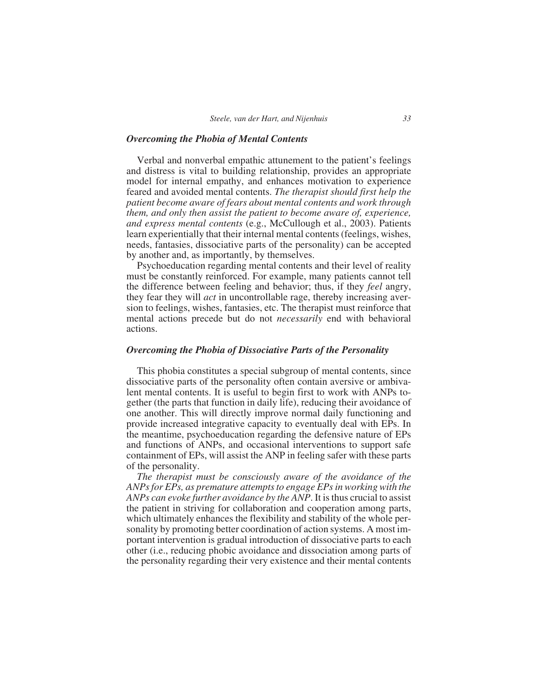## *Overcoming the Phobia of Mental Contents*

Verbal and nonverbal empathic attunement to the patient's feelings and distress is vital to building relationship, provides an appropriate model for internal empathy, and enhances motivation to experience feared and avoided mental contents. *The therapist should first help the patient become aware of fears about mental contents and work through them, and only then assist the patient to become aware of, experience, and express mental contents* (e.g., McCullough et al., 2003). Patients learn experientially that their internal mental contents (feelings, wishes, needs, fantasies, dissociative parts of the personality) can be accepted by another and, as importantly, by themselves.

Psychoeducation regarding mental contents and their level of reality must be constantly reinforced. For example, many patients cannot tell the difference between feeling and behavior; thus, if they *feel* angry, they fear they will *act* in uncontrollable rage, thereby increasing aversion to feelings, wishes, fantasies, etc. The therapist must reinforce that mental actions precede but do not *necessarily* end with behavioral actions.

## *Overcoming the Phobia of Dissociative Parts of the Personality*

This phobia constitutes a special subgroup of mental contents, since dissociative parts of the personality often contain aversive or ambivalent mental contents. It is useful to begin first to work with ANPs together (the parts that function in daily life), reducing their avoidance of one another. This will directly improve normal daily functioning and provide increased integrative capacity to eventually deal with EPs. In the meantime, psychoeducation regarding the defensive nature of EPs and functions of ANPs, and occasional interventions to support safe containment of EPs, will assist the ANP in feeling safer with these parts of the personality.

*The therapist must be consciously aware of the avoidance of the ANPs for EPs, as premature attempts to engage EPs in working with the ANPs can evoke further avoidance by the ANP*. It is thus crucial to assist the patient in striving for collaboration and cooperation among parts, which ultimately enhances the flexibility and stability of the whole personality by promoting better coordination of action systems. A most important intervention is gradual introduction of dissociative parts to each other (i.e., reducing phobic avoidance and dissociation among parts of the personality regarding their very existence and their mental contents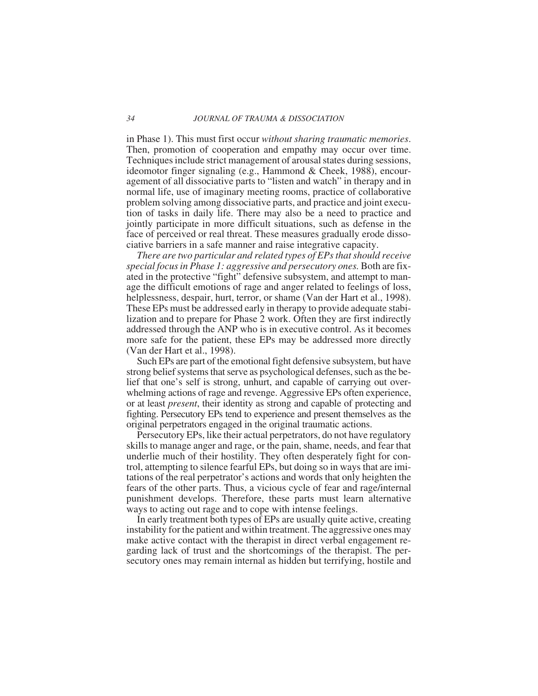in Phase 1). This must first occur *without sharing traumatic memories*. Then, promotion of cooperation and empathy may occur over time. Techniques include strict management of arousal states during sessions, ideomotor finger signaling (e.g., Hammond & Cheek, 1988), encouragement of all dissociative parts to "listen and watch" in therapy and in normal life, use of imaginary meeting rooms, practice of collaborative problem solving among dissociative parts, and practice and joint execution of tasks in daily life. There may also be a need to practice and jointly participate in more difficult situations, such as defense in the face of perceived or real threat. These measures gradually erode dissociative barriers in a safe manner and raise integrative capacity.

*There are two particular and related types of EPs that should receive special focus in Phase 1: aggressive and persecutory ones.* Both are fixated in the protective "fight" defensive subsystem, and attempt to manage the difficult emotions of rage and anger related to feelings of loss, helplessness, despair, hurt, terror, or shame (Van der Hart et al., 1998). These EPs must be addressed early in therapy to provide adequate stabilization and to prepare for Phase 2 work. Often they are first indirectly addressed through the ANP who is in executive control. As it becomes more safe for the patient, these EPs may be addressed more directly (Van der Hart et al., 1998).

Such EPs are part of the emotional fight defensive subsystem, but have strong belief systems that serve as psychological defenses, such as the belief that one's self is strong, unhurt, and capable of carrying out overwhelming actions of rage and revenge. Aggressive EPs often experience, or at least *present*, their identity as strong and capable of protecting and fighting. Persecutory EPs tend to experience and present themselves as the original perpetrators engaged in the original traumatic actions.

Persecutory EPs, like their actual perpetrators, do not have regulatory skills to manage anger and rage, or the pain, shame, needs, and fear that underlie much of their hostility. They often desperately fight for control, attempting to silence fearful EPs, but doing so in ways that are imitations of the real perpetrator's actions and words that only heighten the fears of the other parts. Thus, a vicious cycle of fear and rage/internal punishment develops. Therefore, these parts must learn alternative ways to acting out rage and to cope with intense feelings.

In early treatment both types of EPs are usually quite active, creating instability for the patient and within treatment. The aggressive ones may make active contact with the therapist in direct verbal engagement regarding lack of trust and the shortcomings of the therapist. The persecutory ones may remain internal as hidden but terrifying, hostile and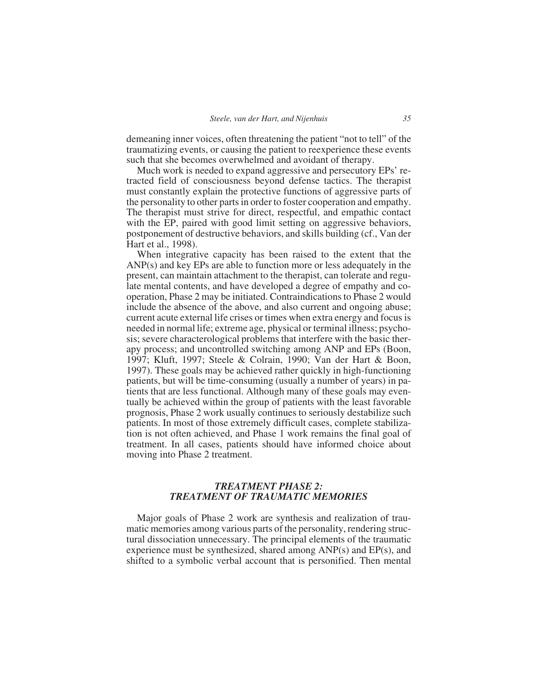demeaning inner voices, often threatening the patient "not to tell" of the traumatizing events, or causing the patient to reexperience these events such that she becomes overwhelmed and avoidant of therapy.

Much work is needed to expand aggressive and persecutory EPs' retracted field of consciousness beyond defense tactics. The therapist must constantly explain the protective functions of aggressive parts of the personality to other parts in order to foster cooperation and empathy. The therapist must strive for direct, respectful, and empathic contact with the EP, paired with good limit setting on aggressive behaviors, postponement of destructive behaviors, and skills building (cf., Van der Hart et al., 1998).

When integrative capacity has been raised to the extent that the ANP(s) and key EPs are able to function more or less adequately in the present, can maintain attachment to the therapist, can tolerate and regulate mental contents, and have developed a degree of empathy and cooperation, Phase 2 may be initiated. Contraindications to Phase 2 would include the absence of the above, and also current and ongoing abuse; current acute external life crises or times when extra energy and focus is needed in normal life; extreme age, physical or terminal illness; psychosis; severe characterological problems that interfere with the basic therapy process; and uncontrolled switching among ANP and EPs (Boon, 1997; Kluft, 1997; Steele & Colrain, 1990; Van der Hart & Boon, 1997). These goals may be achieved rather quickly in high-functioning patients, but will be time-consuming (usually a number of years) in patients that are less functional. Although many of these goals may eventually be achieved within the group of patients with the least favorable prognosis, Phase 2 work usually continues to seriously destabilize such patients. In most of those extremely difficult cases, complete stabilization is not often achieved, and Phase 1 work remains the final goal of treatment. In all cases, patients should have informed choice about moving into Phase 2 treatment.

## *TREATMENT PHASE 2: TREATMENT OF TRAUMATIC MEMORIES*

Major goals of Phase 2 work are synthesis and realization of traumatic memories among various parts of the personality, rendering structural dissociation unnecessary. The principal elements of the traumatic experience must be synthesized, shared among ANP(s) and EP(s), and shifted to a symbolic verbal account that is personified. Then mental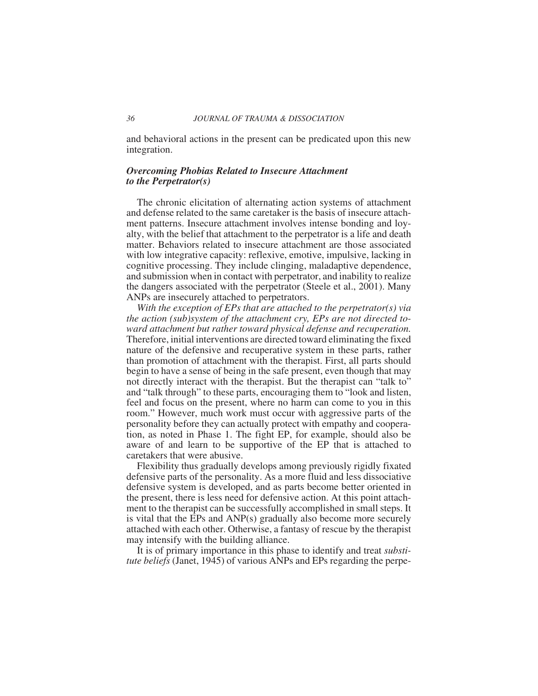and behavioral actions in the present can be predicated upon this new integration.

## *Overcoming Phobias Related to Insecure Attachment to the Perpetrator(s)*

The chronic elicitation of alternating action systems of attachment and defense related to the same caretaker is the basis of insecure attachment patterns. Insecure attachment involves intense bonding and loyalty, with the belief that attachment to the perpetrator is a life and death matter. Behaviors related to insecure attachment are those associated with low integrative capacity: reflexive, emotive, impulsive, lacking in cognitive processing. They include clinging, maladaptive dependence, and submission when in contact with perpetrator, and inability to realize the dangers associated with the perpetrator (Steele et al., 2001). Many ANPs are insecurely attached to perpetrators.

*With the exception of EPs that are attached to the perpetrator(s) via the action (sub)system of the attachment cry, EPs are not directed toward attachment but rather toward physical defense and recuperation.* Therefore, initial interventions are directed toward eliminating the fixed nature of the defensive and recuperative system in these parts, rather than promotion of attachment with the therapist. First, all parts should begin to have a sense of being in the safe present, even though that may not directly interact with the therapist. But the therapist can "talk to" and "talk through" to these parts, encouraging them to "look and listen, feel and focus on the present, where no harm can come to you in this room." However, much work must occur with aggressive parts of the personality before they can actually protect with empathy and cooperation, as noted in Phase 1. The fight EP, for example, should also be aware of and learn to be supportive of the EP that is attached to caretakers that were abusive.

Flexibility thus gradually develops among previously rigidly fixated defensive parts of the personality. As a more fluid and less dissociative defensive system is developed, and as parts become better oriented in the present, there is less need for defensive action. At this point attachment to the therapist can be successfully accomplished in small steps. It is vital that the EPs and ANP(s) gradually also become more securely attached with each other. Otherwise, a fantasy of rescue by the therapist may intensify with the building alliance.

It is of primary importance in this phase to identify and treat *substitute beliefs* (Janet, 1945) of various ANPs and EPs regarding the perpe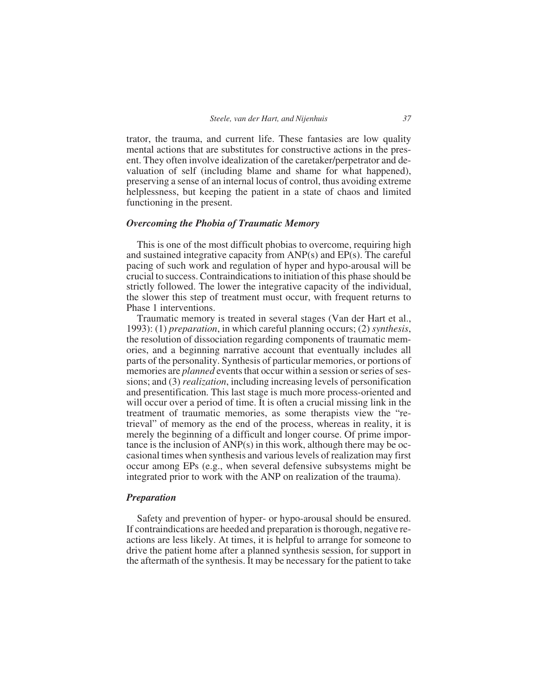trator, the trauma, and current life. These fantasies are low quality mental actions that are substitutes for constructive actions in the present. They often involve idealization of the caretaker/perpetrator and devaluation of self (including blame and shame for what happened), preserving a sense of an internal locus of control, thus avoiding extreme helplessness, but keeping the patient in a state of chaos and limited functioning in the present.

## *Overcoming the Phobia of Traumatic Memory*

This is one of the most difficult phobias to overcome, requiring high and sustained integrative capacity from ANP(s) and EP(s). The careful pacing of such work and regulation of hyper and hypo-arousal will be crucial to success. Contraindications to initiation of this phase should be strictly followed. The lower the integrative capacity of the individual, the slower this step of treatment must occur, with frequent returns to Phase 1 interventions.

Traumatic memory is treated in several stages (Van der Hart et al., 1993): (1) *preparation*, in which careful planning occurs; (2) *synthesis*, the resolution of dissociation regarding components of traumatic memories, and a beginning narrative account that eventually includes all parts of the personality. Synthesis of particular memories, or portions of memories are *planned* events that occur within a session or series of sessions; and (3) *realization*, including increasing levels of personification and presentification. This last stage is much more process-oriented and will occur over a period of time. It is often a crucial missing link in the treatment of traumatic memories, as some therapists view the "retrieval" of memory as the end of the process, whereas in reality, it is merely the beginning of a difficult and longer course. Of prime importance is the inclusion of ANP(s) in this work, although there may be occasional times when synthesis and various levels of realization may first occur among EPs (e.g., when several defensive subsystems might be integrated prior to work with the ANP on realization of the trauma).

## *Preparation*

Safety and prevention of hyper- or hypo-arousal should be ensured. If contraindications are heeded and preparation is thorough, negative reactions are less likely. At times, it is helpful to arrange for someone to drive the patient home after a planned synthesis session, for support in the aftermath of the synthesis. It may be necessary for the patient to take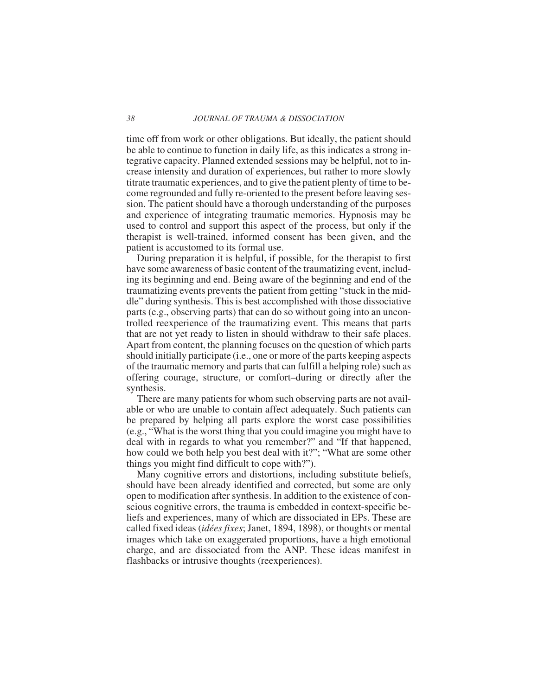time off from work or other obligations. But ideally, the patient should be able to continue to function in daily life, as this indicates a strong integrative capacity. Planned extended sessions may be helpful, not to increase intensity and duration of experiences, but rather to more slowly titrate traumatic experiences, and to give the patient plenty of time to become regrounded and fully re-oriented to the present before leaving session. The patient should have a thorough understanding of the purposes and experience of integrating traumatic memories. Hypnosis may be used to control and support this aspect of the process, but only if the therapist is well-trained, informed consent has been given, and the patient is accustomed to its formal use.

During preparation it is helpful, if possible, for the therapist to first have some awareness of basic content of the traumatizing event, including its beginning and end. Being aware of the beginning and end of the traumatizing events prevents the patient from getting "stuck in the middle" during synthesis. This is best accomplished with those dissociative parts (e.g., observing parts) that can do so without going into an uncontrolled reexperience of the traumatizing event. This means that parts that are not yet ready to listen in should withdraw to their safe places. Apart from content, the planning focuses on the question of which parts should initially participate (i.e., one or more of the parts keeping aspects of the traumatic memory and parts that can fulfill a helping role) such as offering courage, structure, or comfort–during or directly after the synthesis.

There are many patients for whom such observing parts are not available or who are unable to contain affect adequately. Such patients can be prepared by helping all parts explore the worst case possibilities (e.g., "What is the worst thing that you could imagine you might have to deal with in regards to what you remember?" and "If that happened, how could we both help you best deal with it?"; "What are some other things you might find difficult to cope with?").

Many cognitive errors and distortions, including substitute beliefs, should have been already identified and corrected, but some are only open to modification after synthesis. In addition to the existence of conscious cognitive errors, the trauma is embedded in context-specific beliefs and experiences, many of which are dissociated in EPs. These are called fixed ideas (*idées fixes*; Janet, 1894, 1898), or thoughts or mental images which take on exaggerated proportions, have a high emotional charge, and are dissociated from the ANP. These ideas manifest in flashbacks or intrusive thoughts (reexperiences).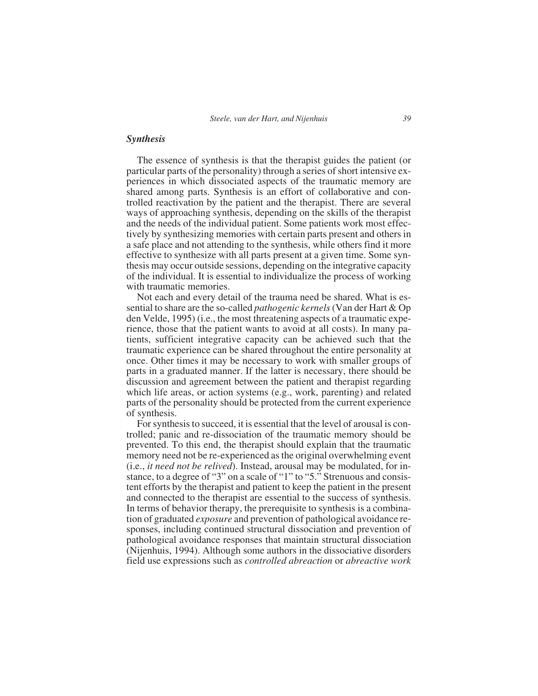## *Synthesis*

The essence of synthesis is that the therapist guides the patient (or particular parts of the personality) through a series of short intensive experiences in which dissociated aspects of the traumatic memory are shared among parts. Synthesis is an effort of collaborative and controlled reactivation by the patient and the therapist. There are several ways of approaching synthesis, depending on the skills of the therapist and the needs of the individual patient. Some patients work most effectively by synthesizing memories with certain parts present and others in a safe place and not attending to the synthesis, while others find it more effective to synthesize with all parts present at a given time. Some synthesis may occur outside sessions, depending on the integrative capacity of the individual. It is essential to individualize the process of working with traumatic memories.

Not each and every detail of the trauma need be shared. What is essential to share are the so-called *pathogenic kernels*(Van der Hart & Op den Velde, 1995) (i.e., the most threatening aspects of a traumatic experience, those that the patient wants to avoid at all costs). In many patients, sufficient integrative capacity can be achieved such that the traumatic experience can be shared throughout the entire personality at once. Other times it may be necessary to work with smaller groups of parts in a graduated manner. If the latter is necessary, there should be discussion and agreement between the patient and therapist regarding which life areas, or action systems (e.g., work, parenting) and related parts of the personality should be protected from the current experience of synthesis.

For synthesis to succeed, it is essential that the level of arousal is controlled; panic and re-dissociation of the traumatic memory should be prevented. To this end, the therapist should explain that the traumatic memory need not be re-experienced as the original overwhelming event (i.e., *it need not be relived*). Instead, arousal may be modulated, for instance, to a degree of "3" on a scale of "1" to "5." Strenuous and consistent efforts by the therapist and patient to keep the patient in the present and connected to the therapist are essential to the success of synthesis. In terms of behavior therapy, the prerequisite to synthesis is a combination of graduated *exposure* and prevention of pathological avoidance responses, including continued structural dissociation and prevention of pathological avoidance responses that maintain structural dissociation (Nijenhuis, 1994). Although some authors in the dissociative disorders field use expressions such as *controlled abreaction* or *abreactive work*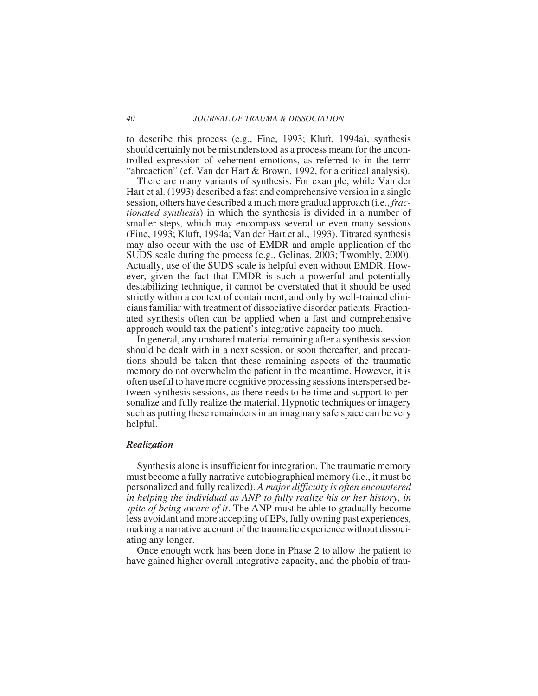to describe this process (e.g., Fine, 1993; Kluft, 1994a), synthesis should certainly not be misunderstood as a process meant for the uncontrolled expression of vehement emotions, as referred to in the term "abreaction" (cf. Van der Hart & Brown, 1992, for a critical analysis).

There are many variants of synthesis. For example, while Van der Hart et al. (1993) described a fast and comprehensive version in a single session, others have described a much more gradual approach (i.e., *fractionated synthesis*) in which the synthesis is divided in a number of smaller steps, which may encompass several or even many sessions (Fine, 1993; Kluft, 1994a; Van der Hart et al., 1993). Titrated synthesis may also occur with the use of EMDR and ample application of the SUDS scale during the process (e.g., Gelinas, 2003; Twombly, 2000). Actually, use of the SUDS scale is helpful even without EMDR. However, given the fact that EMDR is such a powerful and potentially destabilizing technique, it cannot be overstated that it should be used strictly within a context of containment, and only by well-trained clinicians familiar with treatment of dissociative disorder patients. Fractionated synthesis often can be applied when a fast and comprehensive approach would tax the patient's integrative capacity too much.

In general, any unshared material remaining after a synthesis session should be dealt with in a next session, or soon thereafter, and precautions should be taken that these remaining aspects of the traumatic memory do not overwhelm the patient in the meantime. However, it is often useful to have more cognitive processing sessions interspersed between synthesis sessions, as there needs to be time and support to personalize and fully realize the material. Hypnotic techniques or imagery such as putting these remainders in an imaginary safe space can be very helpful.

## *Realization*

Synthesis alone is insufficient for integration. The traumatic memory must become a fully narrative autobiographical memory (i.e., it must be personalized and fully realized). *A major difficulty is often encountered in helping the individual as ANP to fully realize his or her history, in spite of being aware of it*. The ANP must be able to gradually become less avoidant and more accepting of EPs, fully owning past experiences, making a narrative account of the traumatic experience without dissociating any longer.

Once enough work has been done in Phase 2 to allow the patient to have gained higher overall integrative capacity, and the phobia of trau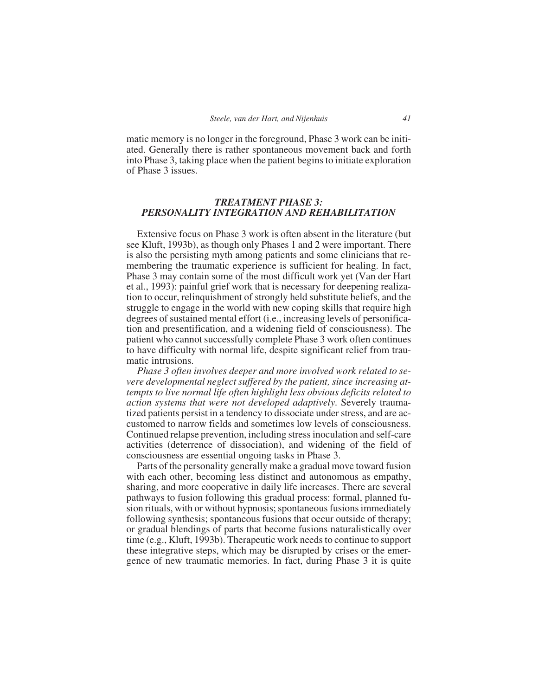matic memory is no longer in the foreground, Phase 3 work can be initiated. Generally there is rather spontaneous movement back and forth into Phase 3, taking place when the patient begins to initiate exploration of Phase 3 issues.

# *TREATMENT PHASE 3: PERSONALITY INTEGRATION AND REHABILITATION*

Extensive focus on Phase 3 work is often absent in the literature (but see Kluft, 1993b), as though only Phases 1 and 2 were important. There is also the persisting myth among patients and some clinicians that remembering the traumatic experience is sufficient for healing. In fact, Phase 3 may contain some of the most difficult work yet (Van der Hart et al., 1993): painful grief work that is necessary for deepening realization to occur, relinquishment of strongly held substitute beliefs, and the struggle to engage in the world with new coping skills that require high degrees of sustained mental effort (i.e., increasing levels of personification and presentification, and a widening field of consciousness). The patient who cannot successfully complete Phase 3 work often continues to have difficulty with normal life, despite significant relief from traumatic intrusions.

*Phase 3 often involves deeper and more involved work related to severe developmental neglect suffered by the patient, since increasing attempts to live normal life often highlight less obvious deficits related to action systems that were not developed adaptively*. Severely traumatized patients persist in a tendency to dissociate under stress, and are accustomed to narrow fields and sometimes low levels of consciousness. Continued relapse prevention, including stress inoculation and self-care activities (deterrence of dissociation), and widening of the field of consciousness are essential ongoing tasks in Phase 3.

Parts of the personality generally make a gradual move toward fusion with each other, becoming less distinct and autonomous as empathy, sharing, and more cooperative in daily life increases. There are several pathways to fusion following this gradual process: formal, planned fusion rituals, with or without hypnosis; spontaneous fusions immediately following synthesis; spontaneous fusions that occur outside of therapy; or gradual blendings of parts that become fusions naturalistically over time (e.g., Kluft, 1993b). Therapeutic work needs to continue to support these integrative steps, which may be disrupted by crises or the emergence of new traumatic memories. In fact, during Phase 3 it is quite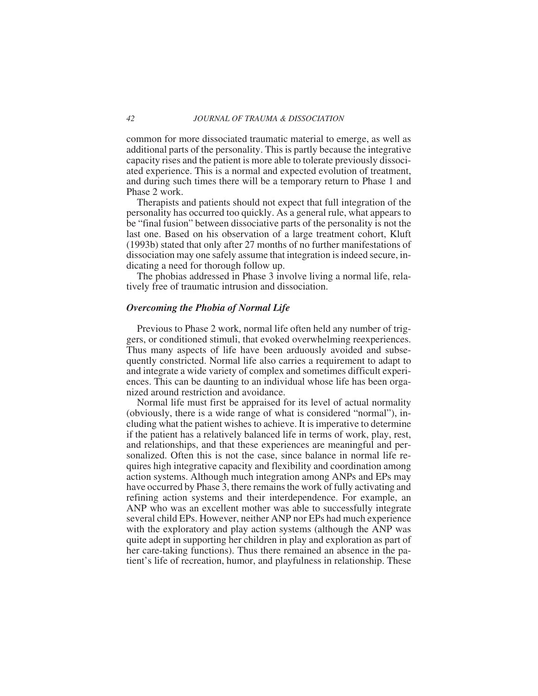common for more dissociated traumatic material to emerge, as well as additional parts of the personality. This is partly because the integrative capacity rises and the patient is more able to tolerate previously dissociated experience. This is a normal and expected evolution of treatment, and during such times there will be a temporary return to Phase 1 and Phase 2 work.

Therapists and patients should not expect that full integration of the personality has occurred too quickly. As a general rule, what appears to be "final fusion" between dissociative parts of the personality is not the last one. Based on his observation of a large treatment cohort, Kluft (1993b) stated that only after 27 months of no further manifestations of dissociation may one safely assume that integration is indeed secure, indicating a need for thorough follow up.

The phobias addressed in Phase 3 involve living a normal life, relatively free of traumatic intrusion and dissociation.

#### *Overcoming the Phobia of Normal Life*

Previous to Phase 2 work, normal life often held any number of triggers, or conditioned stimuli, that evoked overwhelming reexperiences. Thus many aspects of life have been arduously avoided and subsequently constricted. Normal life also carries a requirement to adapt to and integrate a wide variety of complex and sometimes difficult experiences. This can be daunting to an individual whose life has been organized around restriction and avoidance.

Normal life must first be appraised for its level of actual normality (obviously, there is a wide range of what is considered "normal"), including what the patient wishes to achieve. It is imperative to determine if the patient has a relatively balanced life in terms of work, play, rest, and relationships, and that these experiences are meaningful and personalized. Often this is not the case, since balance in normal life requires high integrative capacity and flexibility and coordination among action systems. Although much integration among ANPs and EPs may have occurred by Phase 3, there remains the work of fully activating and refining action systems and their interdependence. For example, an ANP who was an excellent mother was able to successfully integrate several child EPs. However, neither ANP nor EPs had much experience with the exploratory and play action systems (although the ANP was quite adept in supporting her children in play and exploration as part of her care-taking functions). Thus there remained an absence in the patient's life of recreation, humor, and playfulness in relationship. These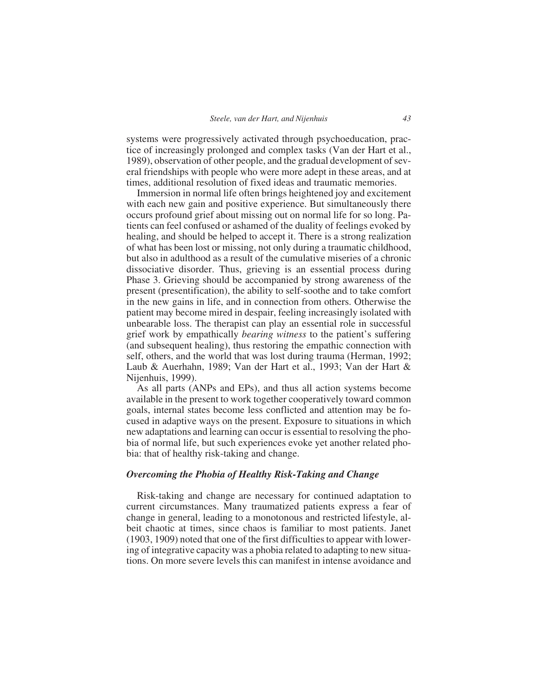systems were progressively activated through psychoeducation, practice of increasingly prolonged and complex tasks (Van der Hart et al., 1989), observation of other people, and the gradual development of several friendships with people who were more adept in these areas, and at times, additional resolution of fixed ideas and traumatic memories.

Immersion in normal life often brings heightened joy and excitement with each new gain and positive experience. But simultaneously there occurs profound grief about missing out on normal life for so long. Patients can feel confused or ashamed of the duality of feelings evoked by healing, and should be helped to accept it. There is a strong realization of what has been lost or missing, not only during a traumatic childhood, but also in adulthood as a result of the cumulative miseries of a chronic dissociative disorder. Thus, grieving is an essential process during Phase 3. Grieving should be accompanied by strong awareness of the present (presentification), the ability to self-soothe and to take comfort in the new gains in life, and in connection from others. Otherwise the patient may become mired in despair, feeling increasingly isolated with unbearable loss. The therapist can play an essential role in successful grief work by empathically *bearing witness* to the patient's suffering (and subsequent healing), thus restoring the empathic connection with self, others, and the world that was lost during trauma (Herman, 1992; Laub & Auerhahn, 1989; Van der Hart et al., 1993; Van der Hart & Nijenhuis, 1999).

As all parts (ANPs and EPs), and thus all action systems become available in the present to work together cooperatively toward common goals, internal states become less conflicted and attention may be focused in adaptive ways on the present. Exposure to situations in which new adaptations and learning can occur is essential to resolving the phobia of normal life, but such experiences evoke yet another related phobia: that of healthy risk-taking and change.

# *Overcoming the Phobia of Healthy Risk-Taking and Change*

Risk-taking and change are necessary for continued adaptation to current circumstances. Many traumatized patients express a fear of change in general, leading to a monotonous and restricted lifestyle, albeit chaotic at times, since chaos is familiar to most patients. Janet (1903, 1909) noted that one of the first difficulties to appear with lowering of integrative capacity was a phobia related to adapting to new situations. On more severe levels this can manifest in intense avoidance and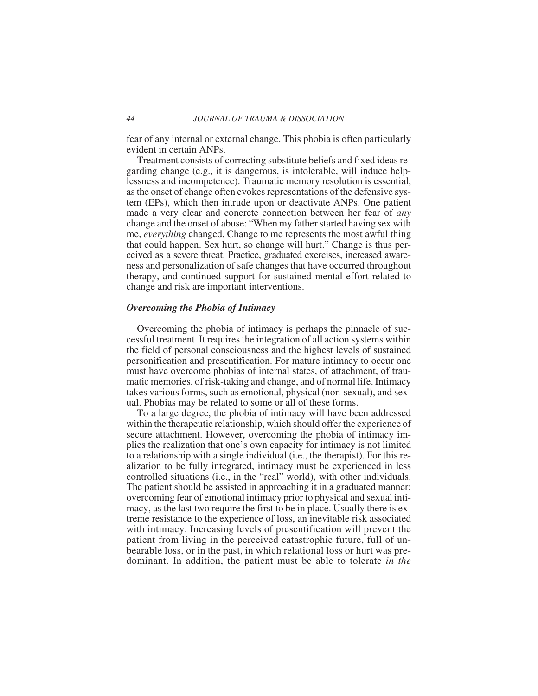fear of any internal or external change. This phobia is often particularly evident in certain ANPs.

Treatment consists of correcting substitute beliefs and fixed ideas regarding change (e.g., it is dangerous, is intolerable, will induce helplessness and incompetence). Traumatic memory resolution is essential, as the onset of change often evokes representations of the defensive system (EPs), which then intrude upon or deactivate ANPs. One patient made a very clear and concrete connection between her fear of *any* change and the onset of abuse: "When my father started having sex with me, *everything* changed. Change to me represents the most awful thing that could happen. Sex hurt, so change will hurt." Change is thus perceived as a severe threat. Practice, graduated exercises, increased awareness and personalization of safe changes that have occurred throughout therapy, and continued support for sustained mental effort related to change and risk are important interventions.

#### *Overcoming the Phobia of Intimacy*

Overcoming the phobia of intimacy is perhaps the pinnacle of successful treatment. It requires the integration of all action systems within the field of personal consciousness and the highest levels of sustained personification and presentification. For mature intimacy to occur one must have overcome phobias of internal states, of attachment, of traumatic memories, of risk-taking and change, and of normal life. Intimacy takes various forms, such as emotional, physical (non-sexual), and sexual. Phobias may be related to some or all of these forms.

To a large degree, the phobia of intimacy will have been addressed within the therapeutic relationship, which should offer the experience of secure attachment. However, overcoming the phobia of intimacy implies the realization that one's own capacity for intimacy is not limited to a relationship with a single individual (i.e., the therapist). For this realization to be fully integrated, intimacy must be experienced in less controlled situations (i.e., in the "real" world), with other individuals. The patient should be assisted in approaching it in a graduated manner; overcoming fear of emotional intimacy prior to physical and sexual intimacy, as the last two require the first to be in place. Usually there is extreme resistance to the experience of loss, an inevitable risk associated with intimacy. Increasing levels of presentification will prevent the patient from living in the perceived catastrophic future, full of unbearable loss, or in the past, in which relational loss or hurt was predominant. In addition, the patient must be able to tolerate *in the*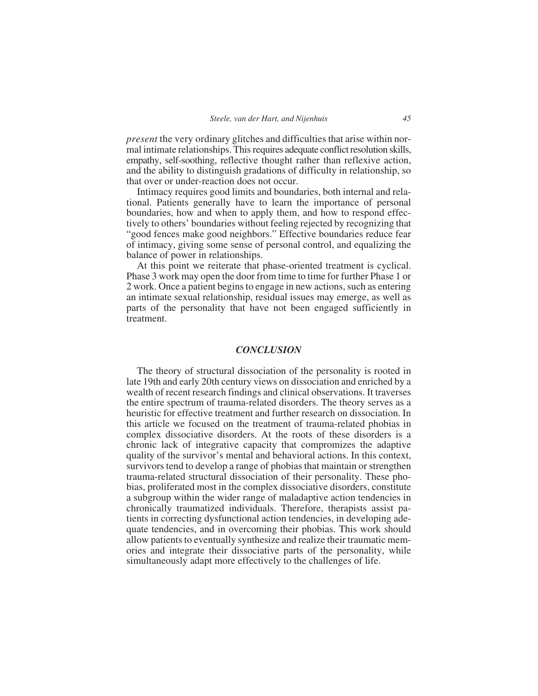*present* the very ordinary glitches and difficulties that arise within normal intimate relationships. This requires adequate conflict resolution skills, empathy, self-soothing, reflective thought rather than reflexive action, and the ability to distinguish gradations of difficulty in relationship, so that over or under-reaction does not occur.

Intimacy requires good limits and boundaries, both internal and relational. Patients generally have to learn the importance of personal boundaries, how and when to apply them, and how to respond effectively to others' boundaries without feeling rejected by recognizing that "good fences make good neighbors." Effective boundaries reduce fear of intimacy, giving some sense of personal control, and equalizing the balance of power in relationships.

At this point we reiterate that phase-oriented treatment is cyclical. Phase 3 work may open the door from time to time for further Phase 1 or 2 work. Once a patient begins to engage in new actions, such as entering an intimate sexual relationship, residual issues may emerge, as well as parts of the personality that have not been engaged sufficiently in treatment.

#### *CONCLUSION*

The theory of structural dissociation of the personality is rooted in late 19th and early 20th century views on dissociation and enriched by a wealth of recent research findings and clinical observations. It traverses the entire spectrum of trauma-related disorders. The theory serves as a heuristic for effective treatment and further research on dissociation. In this article we focused on the treatment of trauma-related phobias in complex dissociative disorders. At the roots of these disorders is a chronic lack of integrative capacity that compromizes the adaptive quality of the survivor's mental and behavioral actions. In this context, survivors tend to develop a range of phobias that maintain or strengthen trauma-related structural dissociation of their personality. These phobias, proliferated most in the complex dissociative disorders, constitute a subgroup within the wider range of maladaptive action tendencies in chronically traumatized individuals. Therefore, therapists assist patients in correcting dysfunctional action tendencies, in developing adequate tendencies, and in overcoming their phobias. This work should allow patients to eventually synthesize and realize their traumatic memories and integrate their dissociative parts of the personality, while simultaneously adapt more effectively to the challenges of life.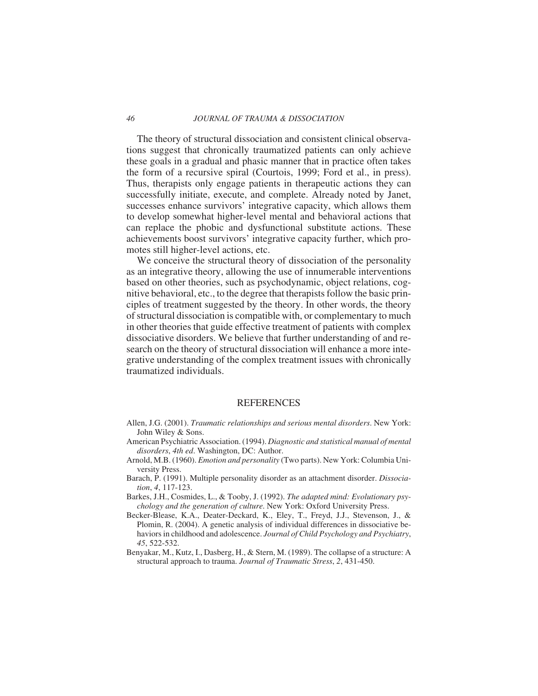#### *46 JOURNAL OF TRAUMA & DISSOCIATION*

The theory of structural dissociation and consistent clinical observations suggest that chronically traumatized patients can only achieve these goals in a gradual and phasic manner that in practice often takes the form of a recursive spiral (Courtois, 1999; Ford et al., in press). Thus, therapists only engage patients in therapeutic actions they can successfully initiate, execute, and complete. Already noted by Janet, successes enhance survivors' integrative capacity, which allows them to develop somewhat higher-level mental and behavioral actions that can replace the phobic and dysfunctional substitute actions. These achievements boost survivors' integrative capacity further, which promotes still higher-level actions, etc.

We conceive the structural theory of dissociation of the personality as an integrative theory, allowing the use of innumerable interventions based on other theories, such as psychodynamic, object relations, cognitive behavioral, etc., to the degree that therapists follow the basic principles of treatment suggested by the theory. In other words, the theory of structural dissociation is compatible with, or complementary to much in other theories that guide effective treatment of patients with complex dissociative disorders. We believe that further understanding of and research on the theory of structural dissociation will enhance a more integrative understanding of the complex treatment issues with chronically traumatized individuals.

#### **REFERENCES**

- Allen, J.G. (2001). *Traumatic relationships and serious mental disorders*. New York: John Wiley & Sons.
- American Psychiatric Association. (1994). *Diagnostic and statistical manual of mental disorders*, *4th ed*. Washington, DC: Author.
- Arnold, M.B. (1960). *Emotion and personality* (Two parts). New York: Columbia University Press.
- Barach, P. (1991). Multiple personality disorder as an attachment disorder. *Dissociation*, *4*, 117-123.
- Barkes, J.H., Cosmides, L., & Tooby, J. (1992). *The adapted mind: Evolutionary psychology and the generation of culture*. New York: Oxford University Press.
- Becker-Blease, K.A., Deater-Deckard, K., Eley, T., Freyd, J.J., Stevenson, J., & Plomin, R. (2004). A genetic analysis of individual differences in dissociative behaviors in childhood and adolescence. *Journal of Child Psychology and Psychiatry*, *45*, 522-532.
- Benyakar, M., Kutz, I., Dasberg, H., & Stern, M. (1989). The collapse of a structure: A structural approach to trauma. *Journal of Traumatic Stress*, *2*, 431-450.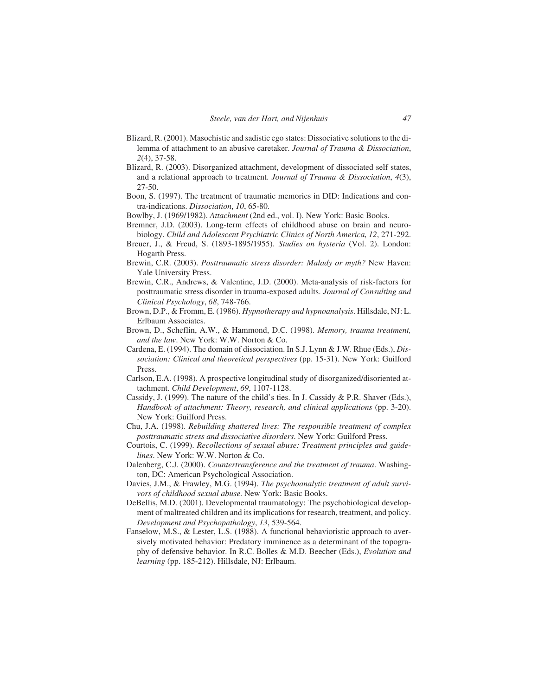- Blizard, R. (2001). Masochistic and sadistic ego states: Dissociative solutions to the dilemma of attachment to an abusive caretaker. *Journal of Trauma & Dissociation*, *2*(4), 37-58.
- Blizard, R. (2003). Disorganized attachment, development of dissociated self states, and a relational approach to treatment. *Journal of Trauma & Dissociation*, *4*(3), 27-50.
- Boon, S. (1997). The treatment of traumatic memories in DID: Indications and contra-indications. *Dissociation*, *10*, 65-80.
- Bowlby, J. (1969/1982). *Attachment* (2nd ed., vol. I). New York: Basic Books.
- Bremner, J.D. (2003). Long-term effects of childhood abuse on brain and neurobiology. *Child and Adolescent Psychiatric Clinics of North America*, *12*, 271-292.
- Breuer, J., & Freud, S. (1893-1895/1955). *Studies on hysteria* (Vol. 2). London: Hogarth Press.
- Brewin, C.R. (2003). *Posttraumatic stress disorder: Malady or myth?* New Haven: Yale University Press.
- Brewin, C.R., Andrews, & Valentine, J.D. (2000). Meta-analysis of risk-factors for posttraumatic stress disorder in trauma-exposed adults. *Journal of Consulting and Clinical Psychology*, *68*, 748-766.
- Brown, D.P., & Fromm, E. (1986). *Hypnotherapy and hypnoanalysis*. Hillsdale, NJ: L. Erlbaum Associates.
- Brown, D., Scheflin, A.W., & Hammond, D.C. (1998). *Memory, trauma treatment, and the law*. New York: W.W. Norton & Co.
- Cardena, E. (1994). The domain of dissociation. In S.J. Lynn & J.W. Rhue (Eds.), *Dissociation: Clinical and theoretical perspectives* (pp. 15-31). New York: Guilford Press.
- Carlson, E.A. (1998). A prospective longitudinal study of disorganized/disoriented attachment. *Child Development*, *69*, 1107-1128.
- Cassidy, J. (1999). The nature of the child's ties. In J. Cassidy & P.R. Shaver (Eds.), *Handbook of attachment: Theory, research, and clinical applications* (pp. 3-20). New York: Guilford Press.
- Chu, J.A. (1998). *Rebuilding shattered lives: The responsible treatment of complex posttraumatic stress and dissociative disorders*. New York: Guilford Press.
- Courtois, C. (1999). *Recollections of sexual abuse: Treatment principles and guidelines*. New York: W.W. Norton & Co.
- Dalenberg, C.J. (2000). *Countertransference and the treatment of trauma*. Washington, DC: American Psychological Association.
- Davies, J.M., & Frawley, M.G. (1994). *The psychoanalytic treatment of adult survivors of childhood sexual abuse*. New York: Basic Books.
- DeBellis, M.D. (2001). Developmental traumatology: The psychobiological development of maltreated children and its implications for research, treatment, and policy. *Development and Psychopathology*, *13*, 539-564.
- Fanselow, M.S., & Lester, L.S. (1988). A functional behavioristic approach to aversively motivated behavior: Predatory imminence as a determinant of the topography of defensive behavior. In R.C. Bolles & M.D. Beecher (Eds.), *Evolution and learning* (pp. 185-212). Hillsdale, NJ: Erlbaum.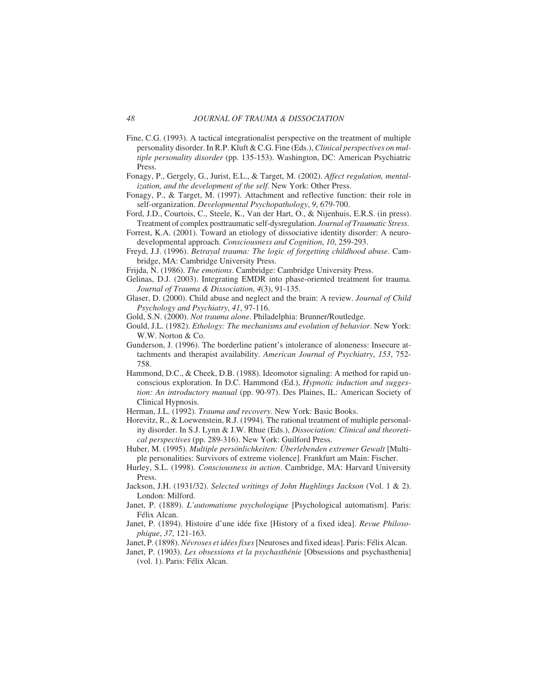- Fine, C.G. (1993). A tactical integrationalist perspective on the treatment of multiple personality disorder. In R.P. Kluft & C.G. Fine (Eds.), *Clinical perspectives on multiple personality disorder* (pp. 135-153). Washington, DC: American Psychiatric Press.
- Fonagy, P., Gergely, G., Jurist, E.L., & Target, M. (2002). *Affect regulation, mentalization, and the development of the self*. New York: Other Press.
- Fonagy, P., & Target, M. (1997). Attachment and reflective function: their role in self-organization. *Developmental Psychopathology*, *9*, 679-700.
- Ford, J.D., Courtois, C., Steele, K., Van der Hart, O., & Nijenhuis, E.R.S. (in press). Treatment of complex posttraumatic self-dysregulation. *Journal of Traumatic Stress*.
- Forrest, K.A. (2001). Toward an etiology of dissociative identity disorder: A neurodevelopmental approach. *Consciousness and Cognition*, *10*, 259-293.
- Freyd, J.J. (1996). *Betrayal trauma: The logic of forgetting childhood abuse*. Cambridge, MA: Cambridge University Press.
- Frijda, N. (1986). *The emotions*. Cambridge: Cambridge University Press.
- Gelinas, D.J. (2003). Integrating EMDR into phase-oriented treatment for trauma. *Journal of Trauma & Dissociation*, *4*(3), 91-135.
- Glaser, D. (2000). Child abuse and neglect and the brain: A review. *Journal of Child Psychology and Psychiatry*, *41*, 97-116.
- Gold, S.N. (2000). *Not trauma alone*. Philadelphia: Brunner/Routledge.
- Gould, J.L. (1982). *Ethology: The mechanisms and evolution of behavior*. New York: W.W. Norton & Co.
- Gunderson, J. (1996). The borderline patient's intolerance of aloneness: Insecure attachments and therapist availability. *American Journal of Psychiatry*, *153*, 752- 758.
- Hammond, D.C., & Cheek, D.B. (1988). Ideomotor signaling: A method for rapid unconscious exploration. In D.C. Hammond (Ed.), *Hypnotic induction and suggestion: An introductory manual* (pp. 90-97). Des Plaines, IL: American Society of Clinical Hypnosis.
- Herman, J.L. (1992). *Trauma and recovery*. New York: Basic Books.
- Horevitz, R., & Loewenstein, R.J. (1994). The rational treatment of multiple personality disorder. In S.J. Lynn & J.W. Rhue (Eds.), *Dissociation: Clinical and theoretical perspectives* (pp. 289-316). New York: Guilford Press.
- Huber, M. (1995). *Multiple persönlichkeiten: Überlebenden extremer Gewalt* [Multiple personalities: Survivors of extreme violence]. Frankfurt am Main: Fischer.
- Hurley, S.L. (1998). *Consciousness in action*. Cambridge, MA: Harvard University Press.
- Jackson, J.H. (1931/32). *Selected writings of John Hughlings Jackson* (Vol. 1 & 2). London: Milford.
- Janet, P. (1889). *L'automatisme psychologique* [Psychological automatism]. Paris: Félix Alcan.
- Janet, P. (1894). Histoire d'une idée fixe [History of a fixed idea]. *Revue Philosophique*, *37*, 121-163.
- Janet, P. (1898). *Névroses et idées fixes*[Neuroses and fixed ideas]. Paris: Félix Alcan.
- Janet, P. (1903). *Les obsessions et la psychasthénie* [Obsessions and psychasthenia] (vol. 1). Paris: Félix Alcan.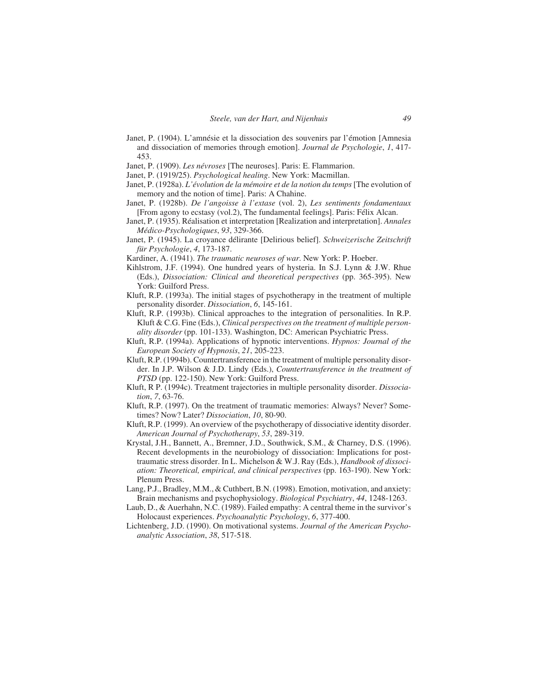- Janet, P. (1904). L'amnésie et la dissociation des souvenirs par l'émotion [Amnesia and dissociation of memories through emotion]. *Journal de Psychologie*, *1*, 417- 453.
- Janet, P. (1909). *Les névroses* [The neuroses]. Paris: E. Flammarion.
- Janet, P. (1919/25). *Psychological healing*. New York: Macmillan.
- Janet, P. (1928a). *L'évolution de la mémoire et de la notion du temps* [The evolution of memory and the notion of time]. Paris: A Chahine.
- Janet, P. (1928b). *De l'angoisse à l'extase* (vol. 2), *Les sentiments fondamentaux* [From agony to ecstasy (vol.2), The fundamental feelings]. Paris: Félix Alcan.
- Janet, P. (1935). Réalisation et interpretation [Realization and interpretation]. *Annales Médico-Psychologiques*, *93*, 329-366.
- Janet, P. (1945). La croyance délirante [Delirious belief]. *Schweizerische Zeitschrift für Psychologie*, *4*, 173-187.
- Kardiner, A. (1941). *The traumatic neuroses of war*. New York: P. Hoeber.
- Kihlstrom, J.F. (1994). One hundred years of hysteria. In S.J. Lynn & J.W. Rhue (Eds.), *Dissociation: Clinical and theoretical perspectives* (pp. 365-395). New York: Guilford Press.
- Kluft, R.P. (1993a). The initial stages of psychotherapy in the treatment of multiple personality disorder. *Dissociation*, *6*, 145-161.
- Kluft, R.P. (1993b). Clinical approaches to the integration of personalities. In R.P. Kluft & C.G. Fine (Eds.), *Clinical perspectives on the treatment of multiple personality disorder* (pp. 101-133). Washington, DC: American Psychiatric Press.
- Kluft, R.P. (1994a). Applications of hypnotic interventions. *Hypnos: Journal of the European Society of Hypnosis*, *21*, 205-223.
- Kluft, R.P. (1994b). Countertransference in the treatment of multiple personality disorder. In J.P. Wilson & J.D. Lindy (Eds.), *Countertransference in the treatment of PTSD* (pp. 122-150). New York: Guilford Press.
- Kluft, R P. (1994c). Treatment trajectories in multiple personality disorder. *Dissociation*, *7*, 63-76.
- Kluft, R.P. (1997). On the treatment of traumatic memories: Always? Never? Sometimes? Now? Later? *Dissociation*, *10*, 80-90.
- Kluft, R.P. (1999). An overview of the psychotherapy of dissociative identity disorder. *American Journal of Psychotherapy*, *53*, 289-319.
- Krystal, J.H., Bannett, A., Bremner, J.D., Southwick, S.M., & Charney, D.S. (1996). Recent developments in the neurobiology of dissociation: Implications for posttraumatic stress disorder. In L. Michelson & W.J. Ray (Eds.), *Handbook of dissociation: Theoretical, empirical, and clinical perspectives* (pp. 163-190). New York: Plenum Press.
- Lang, P.J., Bradley, M.M., & Cuthbert, B.N. (1998). Emotion, motivation, and anxiety: Brain mechanisms and psychophysiology. *Biological Psychiatry*, *44*, 1248-1263.
- Laub, D., & Auerhahn, N.C. (1989). Failed empathy: A central theme in the survivor's Holocaust experiences. *Psychoanalytic Psychology*, *6*, 377-400.
- Lichtenberg, J.D. (1990). On motivational systems. *Journal of the American Psychoanalytic Association*, *38*, 517-518.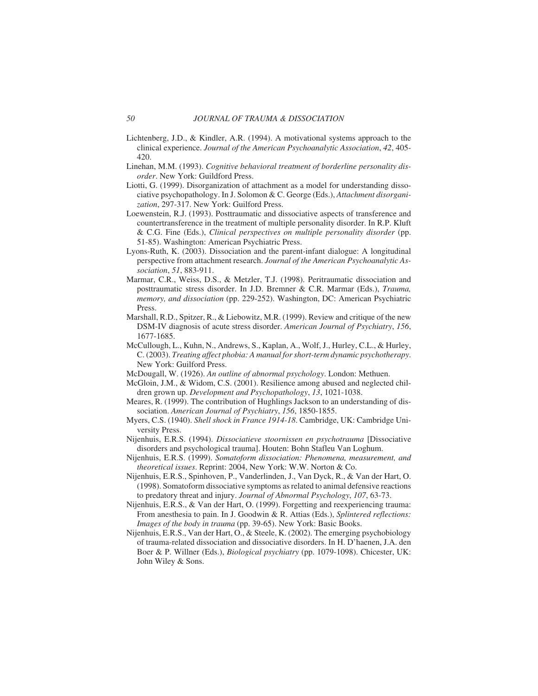- Lichtenberg, J.D., & Kindler, A.R. (1994). A motivational systems approach to the clinical experience. *Journal of the American Psychoanalytic Association*, *42*, 405- 420.
- Linehan, M.M. (1993). *Cognitive behavioral treatment of borderline personality disorder*. New York: Guildford Press.
- Liotti, G. (1999). Disorganization of attachment as a model for understanding dissociative psychopathology. In J. Solomon & C. George (Eds.), *Attachment disorganization*, 297-317. New York: Guilford Press.
- Loewenstein, R.J. (1993). Posttraumatic and dissociative aspects of transference and countertransference in the treatment of multiple personality disorder. In R.P. Kluft & C.G. Fine (Eds.), *Clinical perspectives on multiple personality disorder* (pp. 51-85). Washington: American Psychiatric Press.
- Lyons-Ruth, K. (2003). Dissociation and the parent-infant dialogue: A longitudinal perspective from attachment research. *Journal of the American Psychoanalytic Association*, *51*, 883-911.
- Marmar, C.R., Weiss, D.S., & Metzler, T.J. (1998). Peritraumatic dissociation and posttraumatic stress disorder. In J.D. Bremner & C.R. Marmar (Eds.), *Trauma, memory, and dissociation* (pp. 229-252). Washington, DC: American Psychiatric Press.
- Marshall, R.D., Spitzer, R., & Liebowitz, M.R. (1999). Review and critique of the new DSM-IV diagnosis of acute stress disorder. *American Journal of Psychiatry*, *156*, 1677-1685.
- McCullough, L., Kuhn, N., Andrews, S., Kaplan, A., Wolf, J., Hurley, C.L., & Hurley, C. (2003). *Treating affect phobia: A manual for short-term dynamic psychotherapy*. New York: Guilford Press.
- McDougall, W. (1926). *An outline of abnormal psychology*. London: Methuen.
- McGloin, J.M., & Widom, C.S. (2001). Resilience among abused and neglected children grown up. *Development and Psychopathology*, *13*, 1021-1038.
- Meares, R. (1999). The contribution of Hughlings Jackson to an understanding of dissociation. *American Journal of Psychiatry*, *156*, 1850-1855.
- Myers, C.S. (1940). *Shell shock in France 1914-18*. Cambridge, UK: Cambridge University Press.
- Nijenhuis, E.R.S. (1994). *Dissociatieve stoornissen en psychotrauma* [Dissociative disorders and psychological trauma]. Houten: Bohn Stafleu Van Loghum.
- Nijenhuis, E.R.S. (1999). *Somatoform dissociation: Phenomena, measurement, and theoretical issues*. Reprint: 2004, New York: W.W. Norton & Co.
- Nijenhuis, E.R.S., Spinhoven, P., Vanderlinden, J., Van Dyck, R., & Van der Hart, O. (1998). Somatoform dissociative symptoms as related to animal defensive reactions to predatory threat and injury. *Journal of Abnormal Psychology*, *107*, 63-73.
- Nijenhuis, E.R.S., & Van der Hart, O. (1999). Forgetting and reexperiencing trauma: From anesthesia to pain. In J. Goodwin & R. Attias (Eds.), *Splintered reflections: Images of the body in trauma* (pp. 39-65). New York: Basic Books.
- Nijenhuis, E.R.S., Van der Hart, O., & Steele, K. (2002). The emerging psychobiology of trauma-related dissociation and dissociative disorders. In H. D'haenen, J.A. den Boer & P. Willner (Eds.), *Biological psychiatry* (pp. 1079-1098). Chicester, UK: John Wiley & Sons.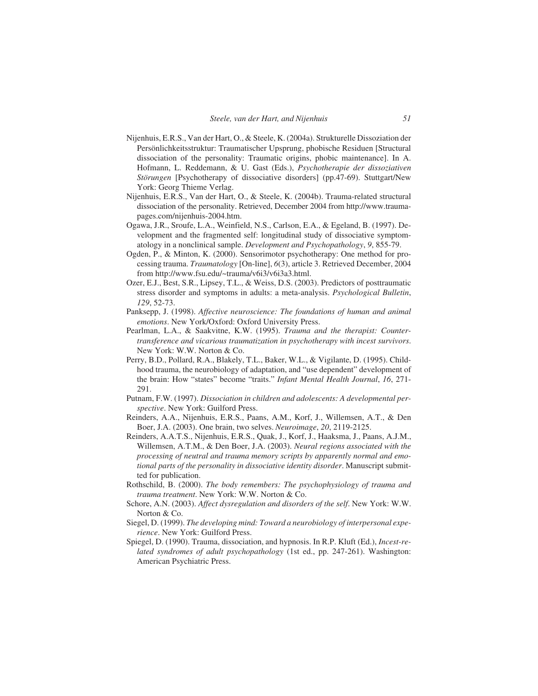- Nijenhuis, E.R.S., Van der Hart, O., & Steele, K. (2004a). Strukturelle Dissoziation der Persönlichkeitsstruktur: Traumatischer Upsprung, phobische Residuen [Structural dissociation of the personality: Traumatic origins, phobic maintenance]. In A. Hofmann, L. Reddemann, & U. Gast (Eds.), *Psychotherapie der dissoziativen Störungen* [Psychotherapy of dissociative disorders] (pp.47-69). Stuttgart/New York: Georg Thieme Verlag.
- Nijenhuis, E.R.S., Van der Hart, O., & Steele, K. (2004b). Trauma-related structural [dissociation of the personality. Retrieved, December 2004 from http://www.trauma](http://www.trauma-pages)pages.com/nijenhuis-2004.htm.
- Ogawa, J.R., Sroufe, L.A., Weinfield, N.S., Carlson, E.A., & Egeland, B. (1997). Development and the fragmented self: longitudinal study of dissociative symptomatology in a nonclinical sample. *Development and Psychopathology*, *9*, 855-79.
- Ogden, P., & Minton, K. (2000). Sensorimotor psychotherapy: One method for processing trauma. *Traumatology* [On-line], *6*(3), article 3. Retrieved December, 2004 from [http://www.fsu.edu/~trauma/v6i3/v6i3a3.html.](http://www.fsu.edu/~trauma/v6i3/v6i3a3.html)
- Ozer, E.J., Best, S.R., Lipsey, T.L., & Weiss, D.S. (2003). Predictors of posttraumatic stress disorder and symptoms in adults: a meta-analysis. *Psychological Bulletin*, *129*, 52-73.
- Panksepp, J. (1998). *Affective neuroscience: The foundations of human and animal emotions*. New York/Oxford: Oxford University Press.
- Pearlman, L.A., & Saakvitne, K.W. (1995). *Trauma and the therapist: Countertransference and vicarious traumatization in psychotherapy with incest survivors*. New York: W.W. Norton & Co.
- Perry, B.D., Pollard, R.A., Blakely, T.L., Baker, W.L., & Vigilante, D. (1995). Childhood trauma, the neurobiology of adaptation, and "use dependent" development of the brain: How "states" become "traits." *Infant Mental Health Journal*, *16*, 271- 291.
- Putnam, F.W. (1997). *Dissociation in children and adolescents: A developmental perspective*. New York: Guilford Press.
- Reinders, A.A., Nijenhuis, E.R.S., Paans, A.M., Korf, J., Willemsen, A.T., & Den Boer, J.A. (2003). One brain, two selves. *Neuroimage*, *20*, 2119-2125.
- Reinders, A.A.T.S., Nijenhuis, E.R.S., Quak, J., Korf, J., Haaksma, J., Paans, A.J.M., Willemsen, A.T.M., & Den Boer, J.A. (2003). *Neural regions associated with the processing of neutral and trauma memory scripts by apparently normal and emotional parts of the personality in dissociative identity disorder*. Manuscript submitted for publication.
- Rothschild, B. (2000). *The body remembers: The psychophysiology of trauma and trauma treatment*. New York: W.W. Norton & Co.
- Schore, A.N. (2003). *Affect dysregulation and disorders of the self*. New York: W.W. Norton & Co.
- Siegel, D. (1999). *The developing mind: Toward a neurobiology of interpersonal experience*. New York: Guilford Press.
- Spiegel, D. (1990). Trauma, dissociation, and hypnosis. In R.P. Kluft (Ed.), *Incest-related syndromes of adult psychopathology* (1st ed., pp. 247-261). Washington: American Psychiatric Press.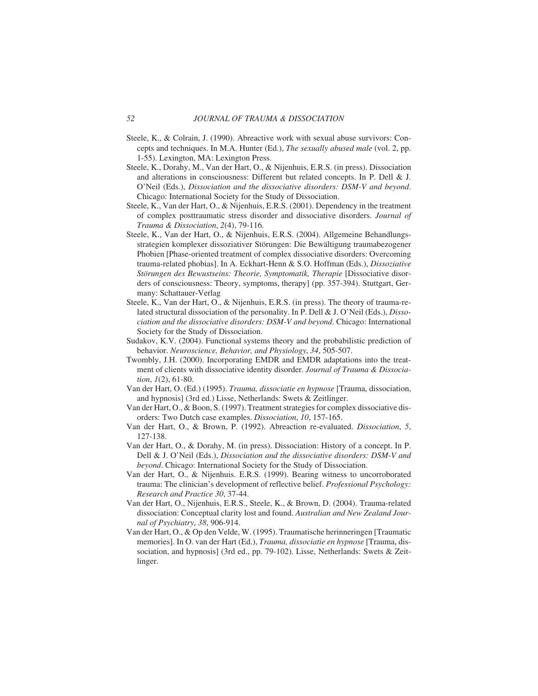- Steele, K., & Colrain, J. (1990). Abreactive work with sexual abuse survivors: Concepts and techniques. In M.A. Hunter (Ed.), *The sexually abused male* (vol. 2, pp. 1-55). Lexington, MA: Lexington Press.
- Steele, K., Dorahy, M., Van der Hart, O., & Nijenhuis, E.R.S. (in press). Dissociation and alterations in consciousness: Different but related concepts. In P. Dell & J. O'Neil (Eds.), *Dissociation and the dissociative disorders: DSM-V and beyond*. Chicago: International Society for the Study of Dissociation.
- Steele, K., Van der Hart, O., & Nijenhuis, E.R.S. (2001). Dependency in the treatment of complex posttraumatic stress disorder and dissociative disorders. *Journal of Trauma & Dissociation*, *2*(4), 79-116.
- Steele, K., Van der Hart, O., & Nijenhuis, E.R.S. (2004). Allgemeine Behandlungsstrategien komplexer dissoziativer Störungen: Die Bewältigung traumabezogener Phobien [Phase-oriented treatment of complex dissociative disorders: Overcoming trauma-related phobias]. In A. Eckhart-Henn & S.O. Hoffman (Eds.), *Dissoziative Störungen des Bewustseins: Theorie, Symptomatik, Therapie* [Dissociative disorders of consciousness: Theory, symptoms, therapy] (pp. 357-394). Stuttgart, Germany: Schattauer-Verlag
- Steele, K., Van der Hart, O., & Nijenhuis, E.R.S. (in press). The theory of trauma-related structural dissociation of the personality. In P. Dell & J. O'Neil (Eds.), *Dissociation and the dissociative disorders: DSM-V and beyond*. Chicago: International Society for the Study of Dissociation.
- Sudakov, K.V. (2004). Functional systems theory and the probabilistic prediction of behavior. *Neuroscience, Behavior, and Physiology*, *34*, 505-507.
- Twombly, J.H. (2000). Incorporating EMDR and EMDR adaptations into the treatment of clients with dissociative identity disorder. *Journal of Trauma & Dissociation*, *1*(2), 61-80.
- Van der Hart, O. (Ed.) (1995). *Trauma, dissociatie en hypnose* [Trauma, dissociation, and hypnosis] (3rd ed.) Lisse, Netherlands: Swets & Zeitlinger.
- Van der Hart, O., & Boon, S. (1997). Treatment strategies for complex dissociative disorders: Two Dutch case examples. *Dissociation*, *10*, 157-165.
- Van der Hart, O., & Brown, P. (1992). Abreaction re-evaluated. *Dissociation*, *5*, 127-138.
- Van der Hart, O., & Dorahy, M. (in press). Dissociation: History of a concept. In P. Dell & J. O'Neil (Eds.), *Dissociation and the dissociative disorders: DSM-V and beyond*. Chicago: International Society for the Study of Dissociation.
- Van der Hart, O., & Nijenhuis. E.R.S. (1999). Bearing witness to uncorroborated trauma: The clinician's development of reflective belief. *Professional Psychology: Research and Practice 30*, 37-44.
- Van der Hart, O., Nijenhuis, E.R.S., Steele, K., & Brown, D. (2004). Trauma-related dissociation: Conceptual clarity lost and found. *Australian and New Zealand Journal of Psychiatry*, *38*, 906-914.
- Van der Hart, O., & Op den Velde, W. (1995). Traumatische herinneringen [Traumatic memories]. In O. van der Hart (Ed.), *Trauma, dissociatie en hypnose* [Trauma, dissociation, and hypnosis] (3rd ed., pp. 79-102). Lisse, Netherlands: Swets & Zeitlinger.